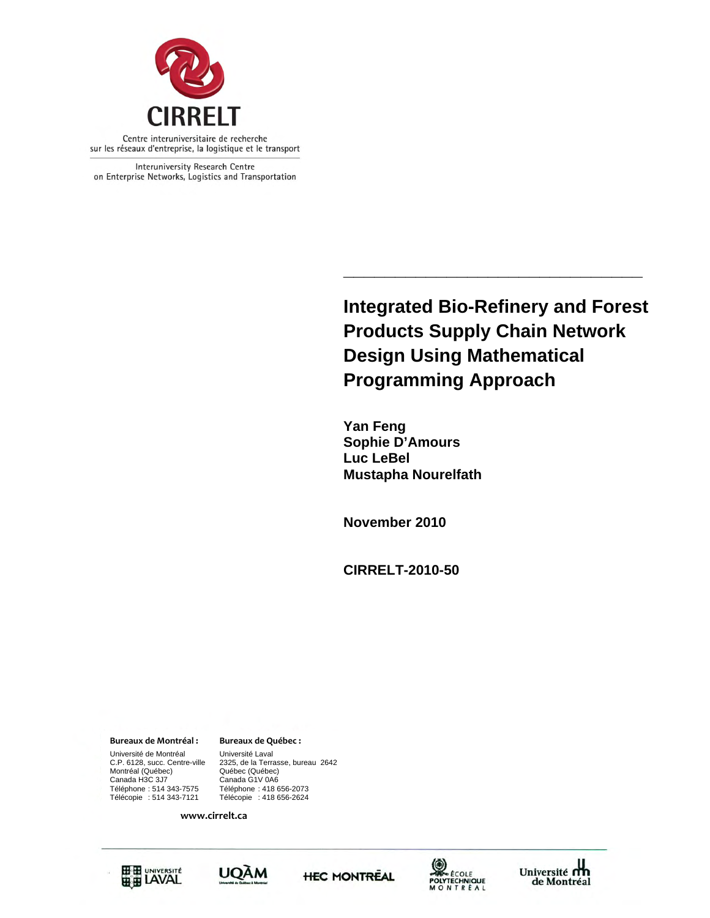

Interuniversity Research Centre on Enterprise Networks, Logistics and Transportation

> **Integrated Bio-Refinery and Forest Products Supply Chain Network Design Using Mathematical Programming Approach**

**\_\_\_\_\_\_\_\_\_\_\_\_\_\_\_\_\_\_\_\_\_\_\_\_\_\_\_\_\_** 

 **Yan Feng Sophie D'Amours Luc LeBel Mustapha Nourelfath** 

**November 2010** 

**CIRRELT-2010-50** 

**Bureaux de Montréal : Bureaux de Québec :**

Canada H3C 3J7 Canada G1V 0A6 Université de Montréal Université Laval Montréal (Québec)<br>Canada H3C 3J7 Téléphone : 514 343-7575 Téléphone : 418 656-2073

C.P. 6128, succ. Centre-ville 2325, de la Terrasse, bureau 2642 Télécopie : 418 656-2624

**www.cirrelt.ca**









Université<br>de Montréal de Montréal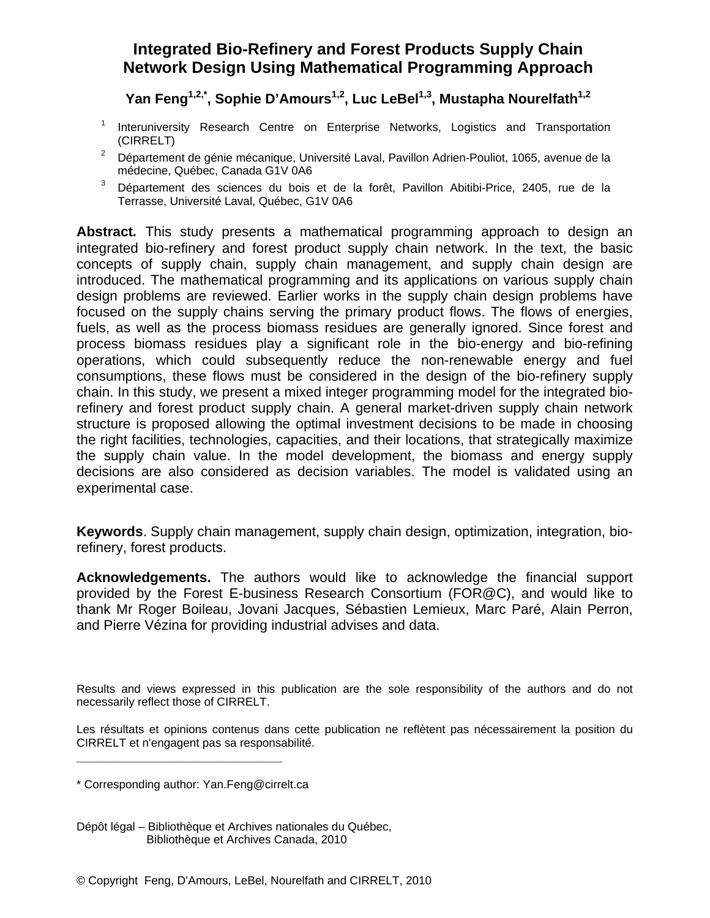# **Integrated Bio-Refinery and Forest Products Supply Chain Network Design Using Mathematical Programming Approach**

Yan Feng<sup>1,2,\*</sup>, Sophie D'Amours<sup>1,2</sup>, Luc LeBel<sup>1,3</sup>, Mustapha Nourelfath<sup>1,2</sup>

- 1 Interuniversity Research Centre on Enterprise Networks, Logistics and Transportation (CIRRELT)
- 2 Département de génie mécanique, Université Laval, Pavillon Adrien-Pouliot, 1065, avenue de la médecine, Québec, Canada G1V 0A6
- 3 Département des sciences du bois et de la forêt, Pavillon Abitibi-Price, 2405, rue de la Terrasse, Université Laval, Québec, G1V 0A6

**Abstract***.* This study presents a mathematical programming approach to design an integrated bio-refinery and forest product supply chain network. In the text, the basic concepts of supply chain, supply chain management, and supply chain design are introduced. The mathematical programming and its applications on various supply chain design problems are reviewed. Earlier works in the supply chain design problems have focused on the supply chains serving the primary product flows. The flows of energies, fuels, as well as the process biomass residues are generally ignored. Since forest and process biomass residues play a significant role in the bio-energy and bio-refining operations, which could subsequently reduce the non-renewable energy and fuel consumptions, these flows must be considered in the design of the bio-refinery supply chain. In this study, we present a mixed integer programming model for the integrated biorefinery and forest product supply chain. A general market-driven supply chain network structure is proposed allowing the optimal investment decisions to be made in choosing the right facilities, technologies, capacities, and their locations, that strategically maximize the supply chain value. In the model development, the biomass and energy supply decisions are also considered as decision variables. The model is validated using an experimental case.

**Keywords**. Supply chain management, supply chain design, optimization, integration, biorefinery, forest products.

**Acknowledgements.** The authors would like to acknowledge the financial support provided by the Forest E-business Research Consortium (FOR@C), and would like to thank Mr Roger Boileau, Jovani Jacques, Sébastien Lemieux, Marc Paré, Alain Perron, and Pierre Vézina for providing industrial advises and data.

Results and views expressed in this publication are the sole responsibility of the authors and do not necessarily reflect those of CIRRELT.

Les résultats et opinions contenus dans cette publication ne reflètent pas nécessairement la position du CIRRELT et n'engagent pas sa responsabilité.

**\_\_\_\_\_\_\_\_\_\_\_\_\_\_\_\_\_\_\_\_\_\_\_\_\_\_\_\_\_**

Dépôt légal – Bibliothèque et Archives nationales du Québec, Bibliothèque et Archives Canada, 2010

© Copyright Feng, D'Amours, LeBel, Nourelfath and CIRRELT, 2010

<sup>\*</sup> Corresponding author: Yan.Feng@cirrelt.ca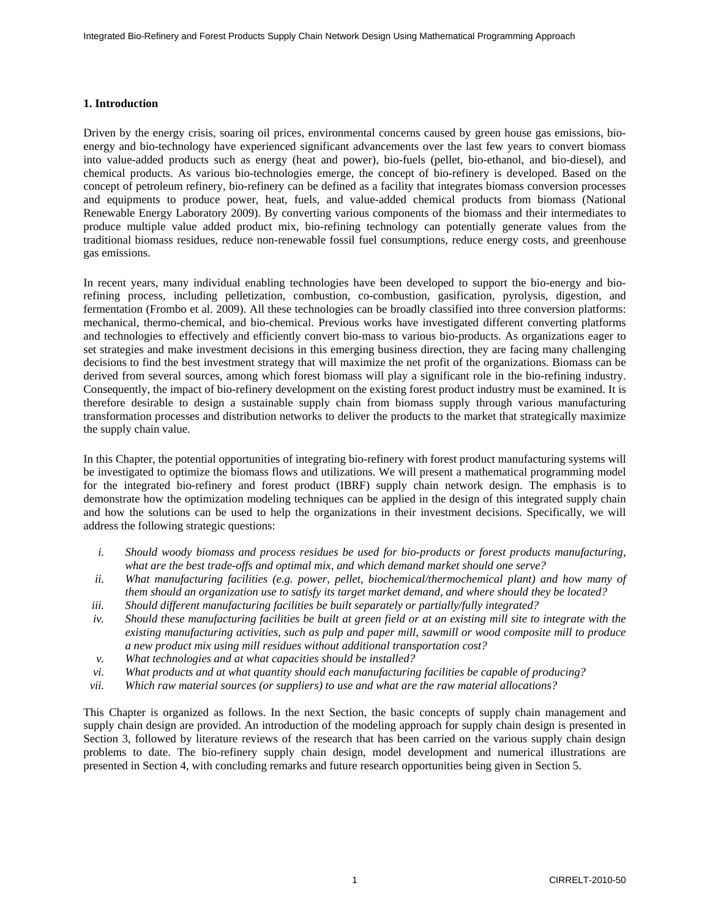### **1. Introduction**

Driven by the energy crisis, soaring oil prices, environmental concerns caused by green house gas emissions, bioenergy and bio-technology have experienced significant advancements over the last few years to convert biomass into value-added products such as energy (heat and power), bio-fuels (pellet, bio-ethanol, and bio-diesel), and chemical products. As various bio-technologies emerge, the concept of bio-refinery is developed. Based on the concept of petroleum refinery, bio-refinery can be defined as a facility that integrates biomass conversion processes and equipments to produce power, heat, fuels, and value-added chemical products from biomass (National Renewable Energy Laboratory 2009). By converting various components of the biomass and their intermediates to produce multiple value added product mix, bio-refining technology can potentially generate values from the traditional biomass residues, reduce non-renewable fossil fuel consumptions, reduce energy costs, and greenhouse gas emissions.

In recent years, many individual enabling technologies have been developed to support the bio-energy and biorefining process, including pelletization, combustion, co-combustion, gasification, pyrolysis, digestion, and fermentation (Frombo et al. 2009). All these technologies can be broadly classified into three conversion platforms: mechanical, thermo-chemical, and bio-chemical. Previous works have investigated different converting platforms and technologies to effectively and efficiently convert bio-mass to various bio-products. As organizations eager to set strategies and make investment decisions in this emerging business direction, they are facing many challenging decisions to find the best investment strategy that will maximize the net profit of the organizations. Biomass can be derived from several sources, among which forest biomass will play a significant role in the bio-refining industry. Consequently, the impact of bio-refinery development on the existing forest product industry must be examined. It is therefore desirable to design a sustainable supply chain from biomass supply through various manufacturing transformation processes and distribution networks to deliver the products to the market that strategically maximize the supply chain value.

In this Chapter, the potential opportunities of integrating bio-refinery with forest product manufacturing systems will be investigated to optimize the biomass flows and utilizations. We will present a mathematical programming model for the integrated bio-refinery and forest product (IBRF) supply chain network design. The emphasis is to demonstrate how the optimization modeling techniques can be applied in the design of this integrated supply chain and how the solutions can be used to help the organizations in their investment decisions. Specifically, we will address the following strategic questions:

- *i. Should woody biomass and process residues be used for bio-products or forest products manufacturing, what are the best trade-offs and optimal mix, and which demand market should one serve?*
- *ii. What manufacturing facilities (e.g. power, pellet, biochemical/thermochemical plant) and how many of them should an organization use to satisfy its target market demand, and where should they be located?*
- *iii. Should different manufacturing facilities be built separately or partially/fully integrated?*
- *iv. Should these manufacturing facilities be built at green field or at an existing mill site to integrate with the existing manufacturing activities, such as pulp and paper mill, sawmill or wood composite mill to produce a new product mix using mill residues without additional transportation cost?*
- *v. What technologies and at what capacities should be installed?*
- *vi. What products and at what quantity should each manufacturing facilities be capable of producing?*
- *vii. Which raw material sources (or suppliers) to use and what are the raw material allocations?*

This Chapter is organized as follows. In the next Section, the basic concepts of supply chain management and supply chain design are provided. An introduction of the modeling approach for supply chain design is presented in Section 3, followed by literature reviews of the research that has been carried on the various supply chain design problems to date. The bio-refinery supply chain design, model development and numerical illustrations are presented in Section 4, with concluding remarks and future research opportunities being given in Section 5.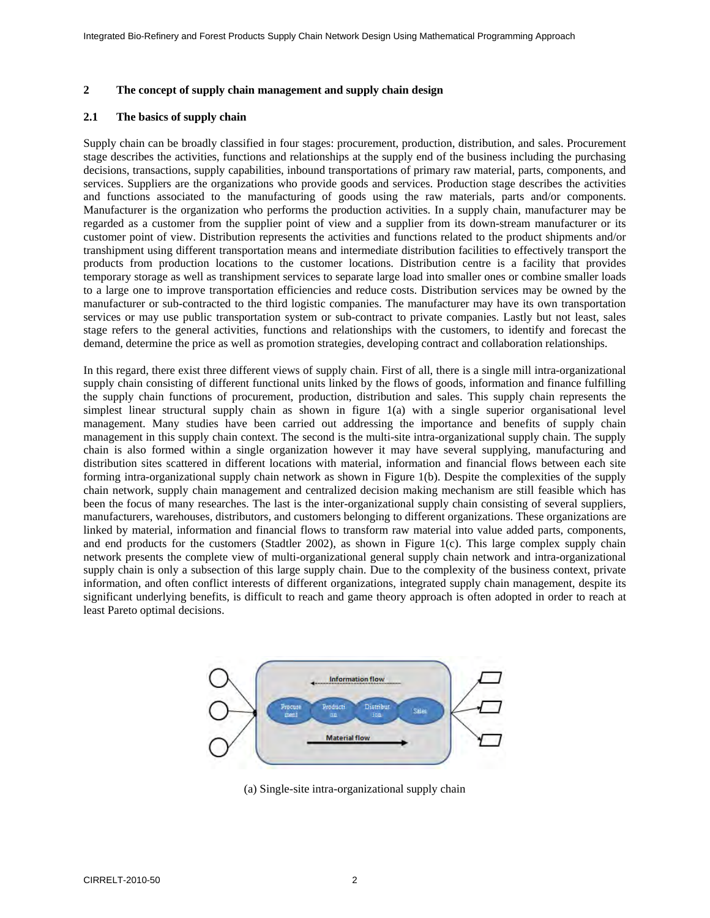### **2 The concept of supply chain management and supply chain design**

#### **2.1 The basics of supply chain**

Supply chain can be broadly classified in four stages: procurement, production, distribution, and sales. Procurement stage describes the activities, functions and relationships at the supply end of the business including the purchasing decisions, transactions, supply capabilities, inbound transportations of primary raw material, parts, components, and services. Suppliers are the organizations who provide goods and services. Production stage describes the activities and functions associated to the manufacturing of goods using the raw materials, parts and/or components. Manufacturer is the organization who performs the production activities. In a supply chain, manufacturer may be regarded as a customer from the supplier point of view and a supplier from its down-stream manufacturer or its customer point of view. Distribution represents the activities and functions related to the product shipments and/or transhipment using different transportation means and intermediate distribution facilities to effectively transport the products from production locations to the customer locations. Distribution centre is a facility that provides temporary storage as well as transhipment services to separate large load into smaller ones or combine smaller loads to a large one to improve transportation efficiencies and reduce costs. Distribution services may be owned by the manufacturer or sub-contracted to the third logistic companies. The manufacturer may have its own transportation services or may use public transportation system or sub-contract to private companies. Lastly but not least, sales stage refers to the general activities, functions and relationships with the customers, to identify and forecast the demand, determine the price as well as promotion strategies, developing contract and collaboration relationships.

In this regard, there exist three different views of supply chain. First of all, there is a single mill intra-organizational supply chain consisting of different functional units linked by the flows of goods, information and finance fulfilling the supply chain functions of procurement, production, distribution and sales. This supply chain represents the simplest linear structural supply chain as shown in figure 1(a) with a single superior organisational level management. Many studies have been carried out addressing the importance and benefits of supply chain management in this supply chain context. The second is the multi-site intra-organizational supply chain. The supply chain is also formed within a single organization however it may have several supplying, manufacturing and distribution sites scattered in different locations with material, information and financial flows between each site forming intra-organizational supply chain network as shown in Figure 1(b). Despite the complexities of the supply chain network, supply chain management and centralized decision making mechanism are still feasible which has been the focus of many researches. The last is the inter-organizational supply chain consisting of several suppliers, manufacturers, warehouses, distributors, and customers belonging to different organizations. These organizations are linked by material, information and financial flows to transform raw material into value added parts, components, and end products for the customers (Stadtler 2002), as shown in Figure 1(c). This large complex supply chain network presents the complete view of multi-organizational general supply chain network and intra-organizational supply chain is only a subsection of this large supply chain. Due to the complexity of the business context, private information, and often conflict interests of different organizations, integrated supply chain management, despite its significant underlying benefits, is difficult to reach and game theory approach is often adopted in order to reach at least Pareto optimal decisions.



(a) Single-site intra-organizational supply chain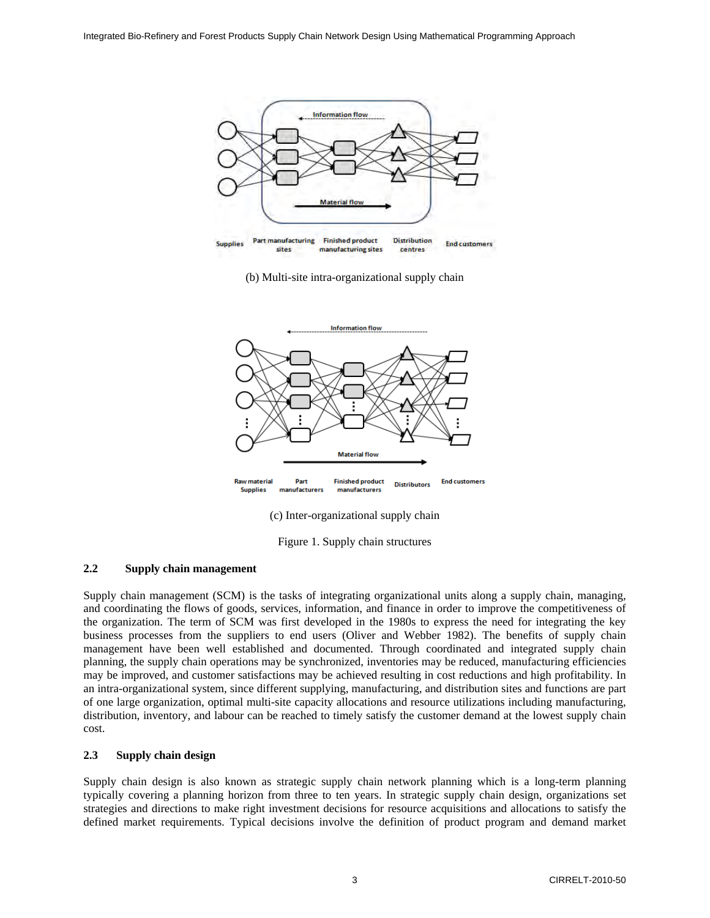

(b) Multi-site intra-organizational supply chain



(c) Inter-organizational supply chain

Figure 1. Supply chain structures

### **2.2 Supply chain management**

Supply chain management (SCM) is the tasks of integrating organizational units along a supply chain, managing, and coordinating the flows of goods, services, information, and finance in order to improve the competitiveness of the organization. The term of SCM was first developed in the 1980s to express the need for integrating the key business processes from the suppliers to end users (Oliver and Webber 1982). The benefits of supply chain management have been well established and documented. Through coordinated and integrated supply chain planning, the supply chain operations may be synchronized, inventories may be reduced, manufacturing efficiencies may be improved, and customer satisfactions may be achieved resulting in cost reductions and high profitability. In an intra-organizational system, since different supplying, manufacturing, and distribution sites and functions are part of one large organization, optimal multi-site capacity allocations and resource utilizations including manufacturing, distribution, inventory, and labour can be reached to timely satisfy the customer demand at the lowest supply chain cost.

### **2.3 Supply chain design**

Supply chain design is also known as strategic supply chain network planning which is a long-term planning typically covering a planning horizon from three to ten years. In strategic supply chain design, organizations set strategies and directions to make right investment decisions for resource acquisitions and allocations to satisfy the defined market requirements. Typical decisions involve the definition of product program and demand market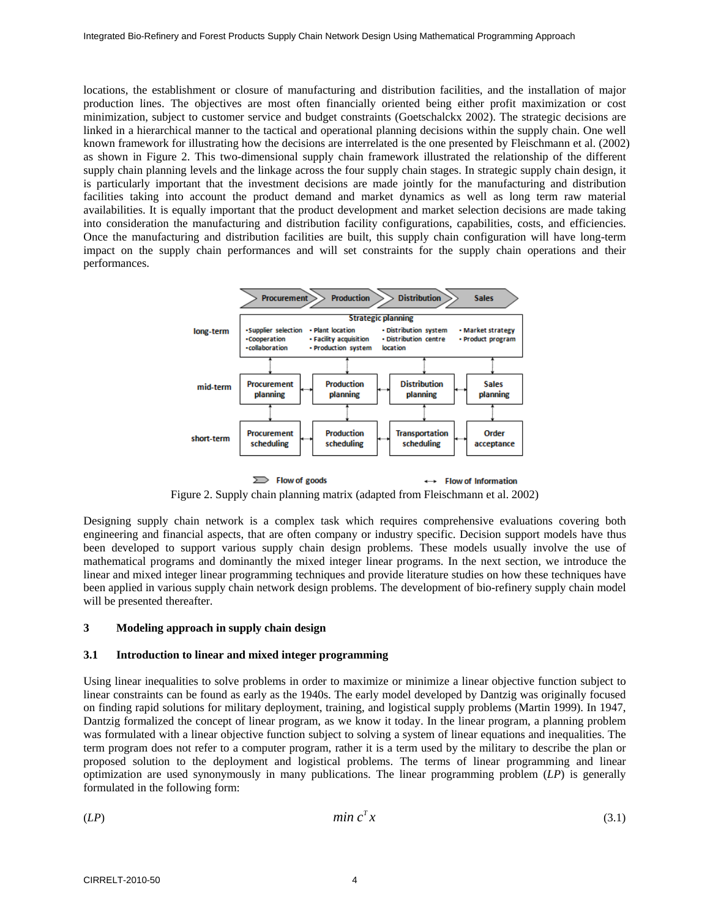locations, the establishment or closure of manufacturing and distribution facilities, and the installation of major production lines. The objectives are most often financially oriented being either profit maximization or cost minimization, subject to customer service and budget constraints (Goetschalckx 2002). The strategic decisions are linked in a hierarchical manner to the tactical and operational planning decisions within the supply chain. One well known framework for illustrating how the decisions are interrelated is the one presented by Fleischmann et al. (2002) as shown in Figure 2. This two-dimensional supply chain framework illustrated the relationship of the different supply chain planning levels and the linkage across the four supply chain stages. In strategic supply chain design, it is particularly important that the investment decisions are made jointly for the manufacturing and distribution facilities taking into account the product demand and market dynamics as well as long term raw material availabilities. It is equally important that the product development and market selection decisions are made taking into consideration the manufacturing and distribution facility configurations, capabilities, costs, and efficiencies. Once the manufacturing and distribution facilities are built, this supply chain configuration will have long-term impact on the supply chain performances and will set constraints for the supply chain operations and their performances.



Figure 2. Supply chain planning matrix (adapted from Fleischmann et al. 2002)

Designing supply chain network is a complex task which requires comprehensive evaluations covering both engineering and financial aspects, that are often company or industry specific. Decision support models have thus been developed to support various supply chain design problems. These models usually involve the use of mathematical programs and dominantly the mixed integer linear programs. In the next section, we introduce the linear and mixed integer linear programming techniques and provide literature studies on how these techniques have been applied in various supply chain network design problems. The development of bio-refinery supply chain model will be presented thereafter.

# **3 Modeling approach in supply chain design**

### **3.1 Introduction to linear and mixed integer programming**

Using linear inequalities to solve problems in order to maximize or minimize a linear objective function subject to linear constraints can be found as early as the 1940s. The early model developed by Dantzig was originally focused on finding rapid solutions for military deployment, training, and logistical supply problems (Martin 1999). In 1947, Dantzig formalized the concept of linear program, as we know it today. In the linear program, a planning problem was formulated with a linear objective function subject to solving a system of linear equations and inequalities. The term program does not refer to a computer program, rather it is a term used by the military to describe the plan or proposed solution to the deployment and logistical problems. The terms of linear programming and linear optimization are used synonymously in many publications. The linear programming problem (*LP*) is generally formulated in the following form:

$$
(LP) \tmin c^T x \t(3.1)
$$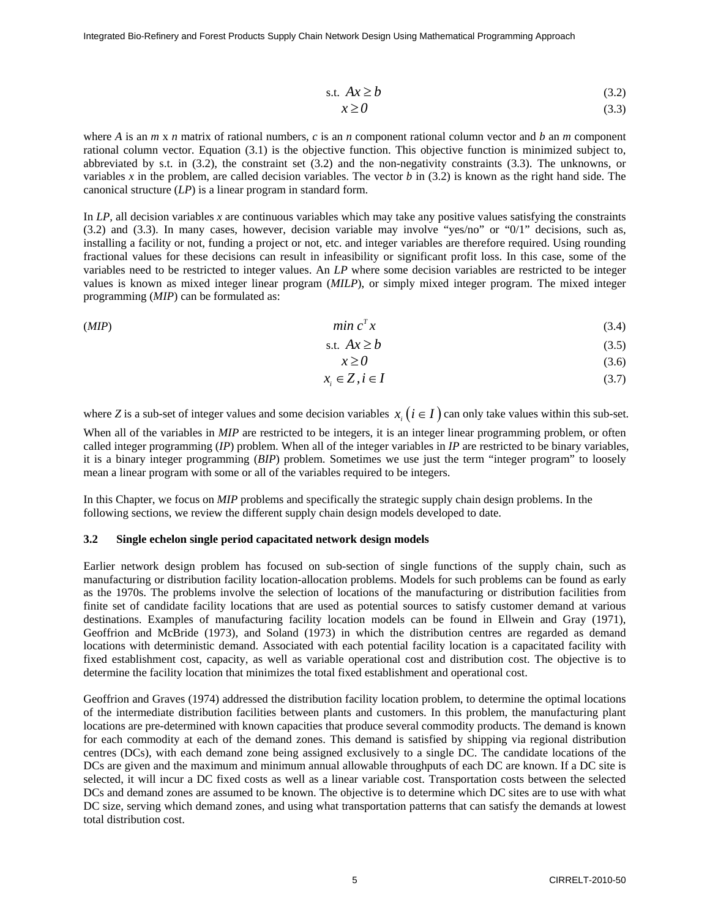Integrated Bio-Refinery and Forest Products Supply Chain Network Design Using Mathematical Programming Approach

$$
s.t. Ax \ge b \tag{3.2}
$$

$$
x \ge 0 \tag{3.3}
$$

where *A* is an *m* x *n* matrix of rational numbers, *c* is an *n* component rational column vector and *b* an *m* component rational column vector. Equation (3.1) is the objective function. This objective function is minimized subject to, abbreviated by s.t. in (3.2), the constraint set (3.2) and the non-negativity constraints (3.3). The unknowns, or variables  $x$  in the problem, are called decision variables. The vector  $b$  in (3.2) is known as the right hand side. The canonical structure (*LP*) is a linear program in standard form.

In *LP,* all decision variables *x* are continuous variables which may take any positive values satisfying the constraints (3.2) and (3.3). In many cases, however, decision variable may involve "yes/no" or "0/1" decisions, such as, installing a facility or not, funding a project or not, etc. and integer variables are therefore required. Using rounding fractional values for these decisions can result in infeasibility or significant profit loss. In this case, some of the variables need to be restricted to integer values. An *LP* where some decision variables are restricted to be integer values is known as mixed integer linear program (*MILP*), or simply mixed integer program. The mixed integer programming (*MIP*) can be formulated as:

(*MIP*)  $\qquad \qquad \text{min } c^T x$  (3.4)

$$
s.t. Ax \ge b \tag{3.5}
$$

$$
x \ge 0 \tag{3.6}
$$

$$
x_i \in Z, i \in I \tag{3.7}
$$

where *Z* is a sub-set of integer values and some decision variables  $x_i$  ( $i \in I$ ) can only take values within this sub-set.

When all of the variables in *MIP* are restricted to be integers, it is an integer linear programming problem, or often called integer programming (*IP*) problem. When all of the integer variables in *IP* are restricted to be binary variables, it is a binary integer programming (*BIP*) problem. Sometimes we use just the term "integer program" to loosely mean a linear program with some or all of the variables required to be integers.

In this Chapter, we focus on *MIP* problems and specifically the strategic supply chain design problems. In the following sections, we review the different supply chain design models developed to date.

### **3.2 Single echelon single period capacitated network design models**

Earlier network design problem has focused on sub-section of single functions of the supply chain, such as manufacturing or distribution facility location-allocation problems. Models for such problems can be found as early as the 1970s. The problems involve the selection of locations of the manufacturing or distribution facilities from finite set of candidate facility locations that are used as potential sources to satisfy customer demand at various destinations. Examples of manufacturing facility location models can be found in Ellwein and Gray (1971), Geoffrion and McBride (1973), and Soland (1973) in which the distribution centres are regarded as demand locations with deterministic demand. Associated with each potential facility location is a capacitated facility with fixed establishment cost, capacity, as well as variable operational cost and distribution cost. The objective is to determine the facility location that minimizes the total fixed establishment and operational cost.

Geoffrion and Graves (1974) addressed the distribution facility location problem, to determine the optimal locations of the intermediate distribution facilities between plants and customers. In this problem, the manufacturing plant locations are pre-determined with known capacities that produce several commodity products. The demand is known for each commodity at each of the demand zones. This demand is satisfied by shipping via regional distribution centres (DCs), with each demand zone being assigned exclusively to a single DC. The candidate locations of the DCs are given and the maximum and minimum annual allowable throughputs of each DC are known. If a DC site is selected, it will incur a DC fixed costs as well as a linear variable cost. Transportation costs between the selected DCs and demand zones are assumed to be known. The objective is to determine which DC sites are to use with what DC size, serving which demand zones, and using what transportation patterns that can satisfy the demands at lowest total distribution cost.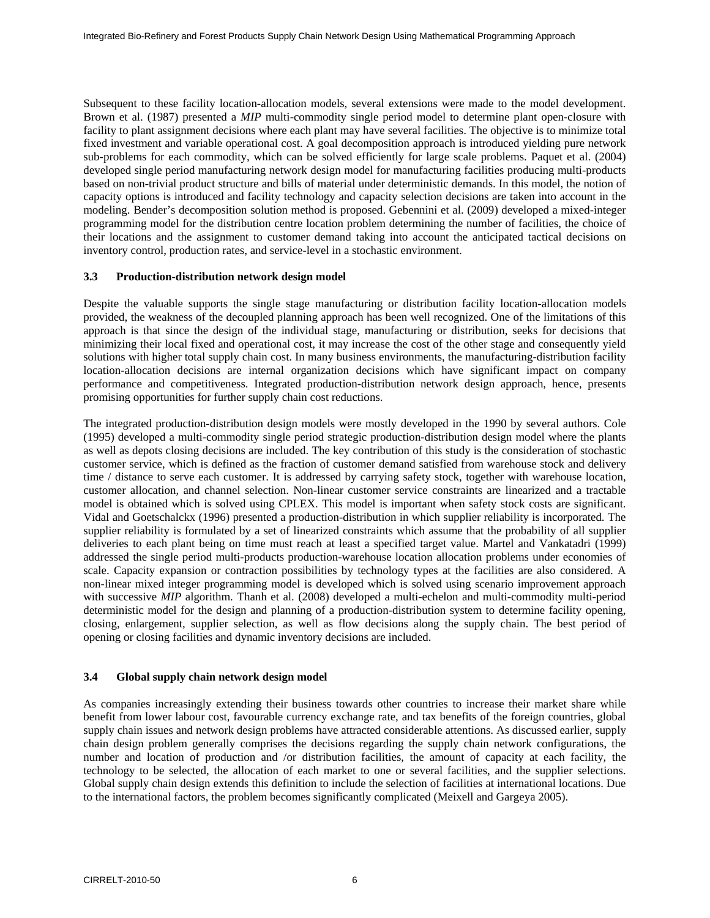Subsequent to these facility location-allocation models, several extensions were made to the model development. Brown et al. (1987) presented a *MIP* multi-commodity single period model to determine plant open-closure with facility to plant assignment decisions where each plant may have several facilities. The objective is to minimize total fixed investment and variable operational cost. A goal decomposition approach is introduced yielding pure network sub-problems for each commodity, which can be solved efficiently for large scale problems. Paquet et al. (2004) developed single period manufacturing network design model for manufacturing facilities producing multi-products based on non-trivial product structure and bills of material under deterministic demands. In this model, the notion of capacity options is introduced and facility technology and capacity selection decisions are taken into account in the modeling. Bender's decomposition solution method is proposed. Gebennini et al. (2009) developed a mixed-integer programming model for the distribution centre location problem determining the number of facilities, the choice of their locations and the assignment to customer demand taking into account the anticipated tactical decisions on inventory control, production rates, and service-level in a stochastic environment.

### **3.3 Production-distribution network design model**

Despite the valuable supports the single stage manufacturing or distribution facility location-allocation models provided, the weakness of the decoupled planning approach has been well recognized. One of the limitations of this approach is that since the design of the individual stage, manufacturing or distribution, seeks for decisions that minimizing their local fixed and operational cost, it may increase the cost of the other stage and consequently yield solutions with higher total supply chain cost. In many business environments, the manufacturing-distribution facility location-allocation decisions are internal organization decisions which have significant impact on company performance and competitiveness. Integrated production-distribution network design approach, hence, presents promising opportunities for further supply chain cost reductions.

The integrated production-distribution design models were mostly developed in the 1990 by several authors. Cole (1995) developed a multi-commodity single period strategic production-distribution design model where the plants as well as depots closing decisions are included. The key contribution of this study is the consideration of stochastic customer service, which is defined as the fraction of customer demand satisfied from warehouse stock and delivery time / distance to serve each customer. It is addressed by carrying safety stock, together with warehouse location, customer allocation, and channel selection. Non-linear customer service constraints are linearized and a tractable model is obtained which is solved using CPLEX. This model is important when safety stock costs are significant. Vidal and Goetschalckx (1996) presented a production-distribution in which supplier reliability is incorporated. The supplier reliability is formulated by a set of linearized constraints which assume that the probability of all supplier deliveries to each plant being on time must reach at least a specified target value. Martel and Vankatadri (1999) addressed the single period multi-products production-warehouse location allocation problems under economies of scale. Capacity expansion or contraction possibilities by technology types at the facilities are also considered. A non-linear mixed integer programming model is developed which is solved using scenario improvement approach with successive *MIP* algorithm. Thanh et al. (2008) developed a multi-echelon and multi-commodity multi-period deterministic model for the design and planning of a production-distribution system to determine facility opening, closing, enlargement, supplier selection, as well as flow decisions along the supply chain. The best period of opening or closing facilities and dynamic inventory decisions are included.

# **3.4 Global supply chain network design model**

As companies increasingly extending their business towards other countries to increase their market share while benefit from lower labour cost, favourable currency exchange rate, and tax benefits of the foreign countries, global supply chain issues and network design problems have attracted considerable attentions. As discussed earlier, supply chain design problem generally comprises the decisions regarding the supply chain network configurations, the number and location of production and /or distribution facilities, the amount of capacity at each facility, the technology to be selected, the allocation of each market to one or several facilities, and the supplier selections. Global supply chain design extends this definition to include the selection of facilities at international locations. Due to the international factors, the problem becomes significantly complicated (Meixell and Gargeya 2005).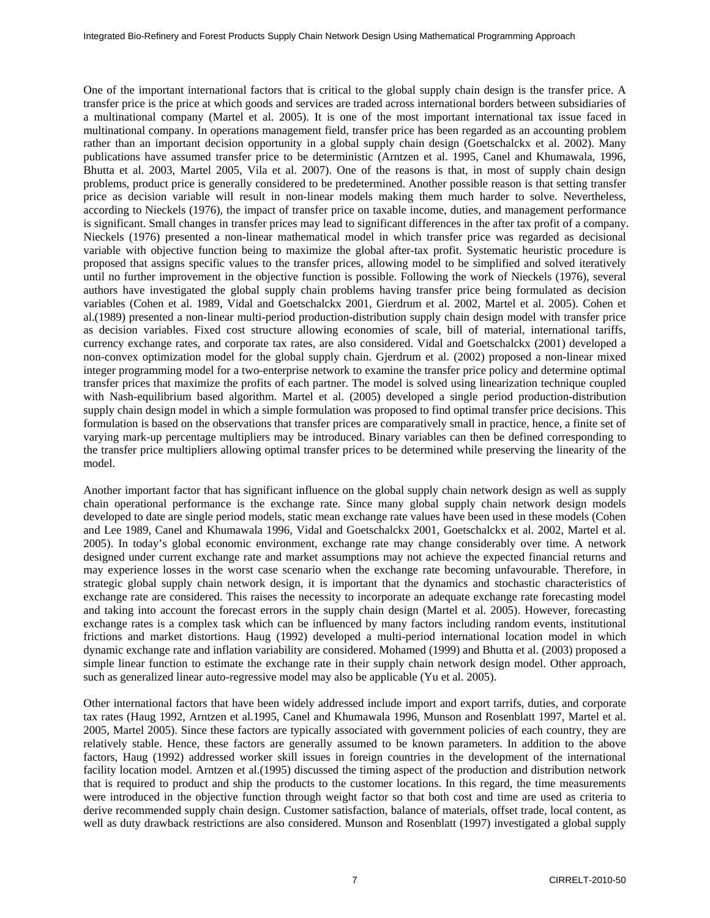One of the important international factors that is critical to the global supply chain design is the transfer price. A transfer price is the price at which goods and services are traded across international borders between subsidiaries of a multinational company (Martel et al. 2005). It is one of the most important international tax issue faced in multinational company. In operations management field, transfer price has been regarded as an accounting problem rather than an important decision opportunity in a global supply chain design (Goetschalckx et al. 2002). Many publications have assumed transfer price to be deterministic (Arntzen et al. 1995, Canel and Khumawala, 1996, Bhutta et al. 2003, Martel 2005, Vila et al. 2007). One of the reasons is that, in most of supply chain design problems, product price is generally considered to be predetermined. Another possible reason is that setting transfer price as decision variable will result in non-linear models making them much harder to solve. Nevertheless, according to Nieckels (1976), the impact of transfer price on taxable income, duties, and management performance is significant. Small changes in transfer prices may lead to significant differences in the after tax profit of a company. Nieckels (1976) presented a non-linear mathematical model in which transfer price was regarded as decisional variable with objective function being to maximize the global after-tax profit. Systematic heuristic procedure is proposed that assigns specific values to the transfer prices, allowing model to be simplified and solved iteratively until no further improvement in the objective function is possible. Following the work of Nieckels (1976), several authors have investigated the global supply chain problems having transfer price being formulated as decision variables (Cohen et al. 1989, Vidal and Goetschalckx 2001, Gierdrum et al. 2002, Martel et al. 2005). Cohen et al.(1989) presented a non-linear multi-period production-distribution supply chain design model with transfer price as decision variables. Fixed cost structure allowing economies of scale, bill of material, international tariffs, currency exchange rates, and corporate tax rates, are also considered. Vidal and Goetschalckx (2001) developed a non-convex optimization model for the global supply chain. Gjerdrum et al. (2002) proposed a non-linear mixed integer programming model for a two-enterprise network to examine the transfer price policy and determine optimal transfer prices that maximize the profits of each partner. The model is solved using linearization technique coupled with Nash-equilibrium based algorithm. Martel et al. (2005) developed a single period production-distribution supply chain design model in which a simple formulation was proposed to find optimal transfer price decisions. This formulation is based on the observations that transfer prices are comparatively small in practice, hence, a finite set of varying mark-up percentage multipliers may be introduced. Binary variables can then be defined corresponding to the transfer price multipliers allowing optimal transfer prices to be determined while preserving the linearity of the model.

Another important factor that has significant influence on the global supply chain network design as well as supply chain operational performance is the exchange rate. Since many global supply chain network design models developed to date are single period models, static mean exchange rate values have been used in these models (Cohen and Lee 1989, Canel and Khumawala 1996, Vidal and Goetschalckx 2001, Goetschalckx et al. 2002, Martel et al. 2005). In today's global economic environment, exchange rate may change considerably over time. A network designed under current exchange rate and market assumptions may not achieve the expected financial returns and may experience losses in the worst case scenario when the exchange rate becoming unfavourable. Therefore, in strategic global supply chain network design, it is important that the dynamics and stochastic characteristics of exchange rate are considered. This raises the necessity to incorporate an adequate exchange rate forecasting model and taking into account the forecast errors in the supply chain design (Martel et al. 2005). However, forecasting exchange rates is a complex task which can be influenced by many factors including random events, institutional frictions and market distortions. Haug (1992) developed a multi-period international location model in which dynamic exchange rate and inflation variability are considered. Mohamed (1999) and Bhutta et al. (2003) proposed a simple linear function to estimate the exchange rate in their supply chain network design model. Other approach, such as generalized linear auto-regressive model may also be applicable (Yu et al. 2005).

Other international factors that have been widely addressed include import and export tarrifs, duties, and corporate tax rates (Haug 1992, Arntzen et al.1995, Canel and Khumawala 1996, Munson and Rosenblatt 1997, Martel et al. 2005, Martel 2005). Since these factors are typically associated with government policies of each country, they are relatively stable. Hence, these factors are generally assumed to be known parameters. In addition to the above factors, Haug (1992) addressed worker skill issues in foreign countries in the development of the international facility location model. Arntzen et al.(1995) discussed the timing aspect of the production and distribution network that is required to product and ship the products to the customer locations. In this regard, the time measurements were introduced in the objective function through weight factor so that both cost and time are used as criteria to derive recommended supply chain design. Customer satisfaction, balance of materials, offset trade, local content, as well as duty drawback restrictions are also considered. Munson and Rosenblatt (1997) investigated a global supply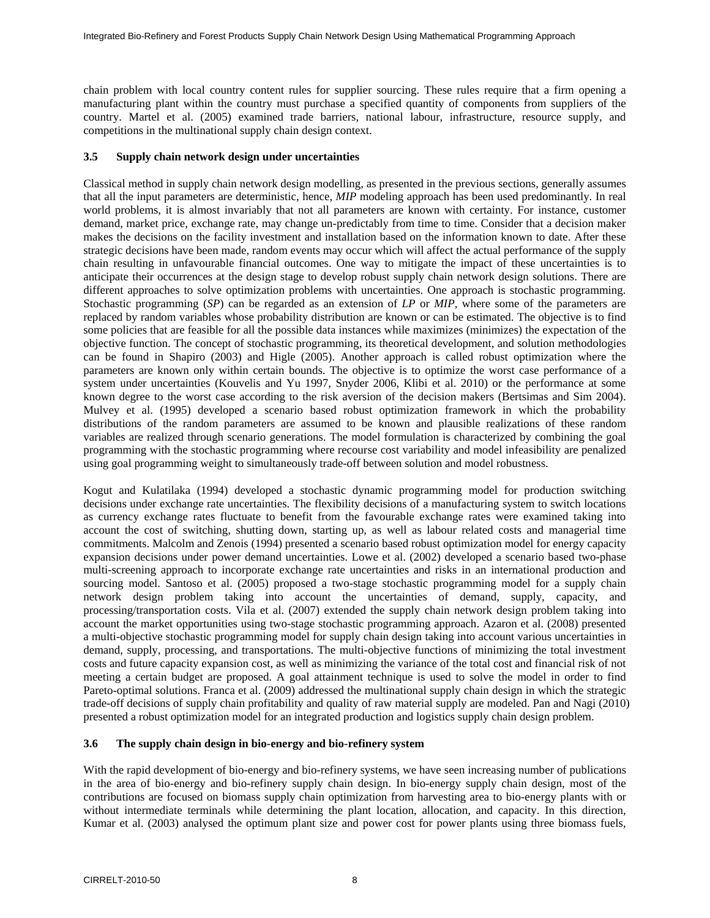chain problem with local country content rules for supplier sourcing. These rules require that a firm opening a manufacturing plant within the country must purchase a specified quantity of components from suppliers of the country. Martel et al. (2005) examined trade barriers, national labour, infrastructure, resource supply, and competitions in the multinational supply chain design context.

### **3.5 Supply chain network design under uncertainties**

Classical method in supply chain network design modelling, as presented in the previous sections, generally assumes that all the input parameters are deterministic, hence, *MIP* modeling approach has been used predominantly. In real world problems, it is almost invariably that not all parameters are known with certainty. For instance, customer demand, market price, exchange rate, may change un-predictably from time to time. Consider that a decision maker makes the decisions on the facility investment and installation based on the information known to date. After these strategic decisions have been made, random events may occur which will affect the actual performance of the supply chain resulting in unfavourable financial outcomes. One way to mitigate the impact of these uncertainties is to anticipate their occurrences at the design stage to develop robust supply chain network design solutions. There are different approaches to solve optimization problems with uncertainties. One approach is stochastic programming. Stochastic programming (*SP*) can be regarded as an extension of *LP* or *MIP*, where some of the parameters are replaced by random variables whose probability distribution are known or can be estimated. The objective is to find some policies that are feasible for all the possible data instances while maximizes (minimizes) the expectation of the objective function. The concept of stochastic programming, its theoretical development, and solution methodologies can be found in Shapiro (2003) and Higle (2005). Another approach is called robust optimization where the parameters are known only within certain bounds. The objective is to optimize the worst case performance of a system under uncertainties (Kouvelis and Yu 1997, Snyder 2006, Klibi et al. 2010) or the performance at some known degree to the worst case according to the risk aversion of the decision makers (Bertsimas and Sim 2004). Mulvey et al. (1995) developed a scenario based robust optimization framework in which the probability distributions of the random parameters are assumed to be known and plausible realizations of these random variables are realized through scenario generations. The model formulation is characterized by combining the goal programming with the stochastic programming where recourse cost variability and model infeasibility are penalized using goal programming weight to simultaneously trade-off between solution and model robustness.

Kogut and Kulatilaka (1994) developed a stochastic dynamic programming model for production switching decisions under exchange rate uncertainties. The flexibility decisions of a manufacturing system to switch locations as currency exchange rates fluctuate to benefit from the favourable exchange rates were examined taking into account the cost of switching, shutting down, starting up, as well as labour related costs and managerial time commitments. Malcolm and Zenois (1994) presented a scenario based robust optimization model for energy capacity expansion decisions under power demand uncertainties. Lowe et al. (2002) developed a scenario based two-phase multi-screening approach to incorporate exchange rate uncertainties and risks in an international production and sourcing model. Santoso et al. (2005) proposed a two-stage stochastic programming model for a supply chain network design problem taking into account the uncertainties of demand, supply, capacity, and processing/transportation costs. Vila et al. (2007) extended the supply chain network design problem taking into account the market opportunities using two-stage stochastic programming approach. Azaron et al. (2008) presented a multi-objective stochastic programming model for supply chain design taking into account various uncertainties in demand, supply, processing, and transportations. The multi-objective functions of minimizing the total investment costs and future capacity expansion cost, as well as minimizing the variance of the total cost and financial risk of not meeting a certain budget are proposed. A goal attainment technique is used to solve the model in order to find Pareto-optimal solutions. Franca et al. (2009) addressed the multinational supply chain design in which the strategic trade-off decisions of supply chain profitability and quality of raw material supply are modeled. Pan and Nagi (2010) presented a robust optimization model for an integrated production and logistics supply chain design problem.

# **3.6 The supply chain design in bio-energy and bio-refinery system**

With the rapid development of bio-energy and bio-refinery systems, we have seen increasing number of publications in the area of bio-energy and bio-refinery supply chain design. In bio-energy supply chain design, most of the contributions are focused on biomass supply chain optimization from harvesting area to bio-energy plants with or without intermediate terminals while determining the plant location, allocation, and capacity. In this direction, Kumar et al. (2003) analysed the optimum plant size and power cost for power plants using three biomass fuels,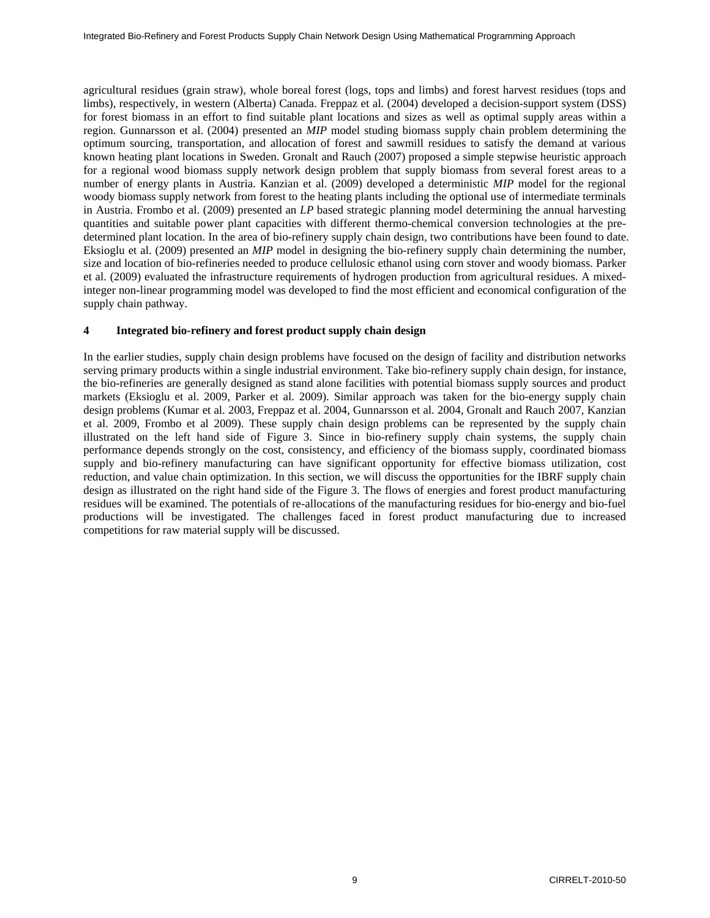agricultural residues (grain straw), whole boreal forest (logs, tops and limbs) and forest harvest residues (tops and limbs), respectively, in western (Alberta) Canada. Freppaz et al. (2004) developed a decision-support system (DSS) for forest biomass in an effort to find suitable plant locations and sizes as well as optimal supply areas within a region. Gunnarsson et al. (2004) presented an *MIP* model studing biomass supply chain problem determining the optimum sourcing, transportation, and allocation of forest and sawmill residues to satisfy the demand at various known heating plant locations in Sweden. Gronalt and Rauch (2007) proposed a simple stepwise heuristic approach for a regional wood biomass supply network design problem that supply biomass from several forest areas to a number of energy plants in Austria. Kanzian et al. (2009) developed a deterministic *MIP* model for the regional woody biomass supply network from forest to the heating plants including the optional use of intermediate terminals in Austria. Frombo et al. (2009) presented an *LP* based strategic planning model determining the annual harvesting quantities and suitable power plant capacities with different thermo-chemical conversion technologies at the predetermined plant location. In the area of bio-refinery supply chain design, two contributions have been found to date. Eksioglu et al. (2009) presented an *MIP* model in designing the bio-refinery supply chain determining the number, size and location of bio-refineries needed to produce cellulosic ethanol using corn stover and woody biomass. Parker et al. (2009) evaluated the infrastructure requirements of hydrogen production from agricultural residues. A mixedinteger non-linear programming model was developed to find the most efficient and economical configuration of the supply chain pathway.

### **4 Integrated bio-refinery and forest product supply chain design**

In the earlier studies, supply chain design problems have focused on the design of facility and distribution networks serving primary products within a single industrial environment. Take bio-refinery supply chain design, for instance, the bio-refineries are generally designed as stand alone facilities with potential biomass supply sources and product markets (Eksioglu et al. 2009, Parker et al. 2009). Similar approach was taken for the bio-energy supply chain design problems (Kumar et al. 2003, Freppaz et al. 2004, Gunnarsson et al. 2004, Gronalt and Rauch 2007, Kanzian et al. 2009, Frombo et al 2009). These supply chain design problems can be represented by the supply chain illustrated on the left hand side of Figure 3. Since in bio-refinery supply chain systems, the supply chain performance depends strongly on the cost, consistency, and efficiency of the biomass supply, coordinated biomass supply and bio-refinery manufacturing can have significant opportunity for effective biomass utilization, cost reduction, and value chain optimization. In this section, we will discuss the opportunities for the IBRF supply chain design as illustrated on the right hand side of the Figure 3. The flows of energies and forest product manufacturing residues will be examined. The potentials of re-allocations of the manufacturing residues for bio-energy and bio-fuel productions will be investigated. The challenges faced in forest product manufacturing due to increased competitions for raw material supply will be discussed.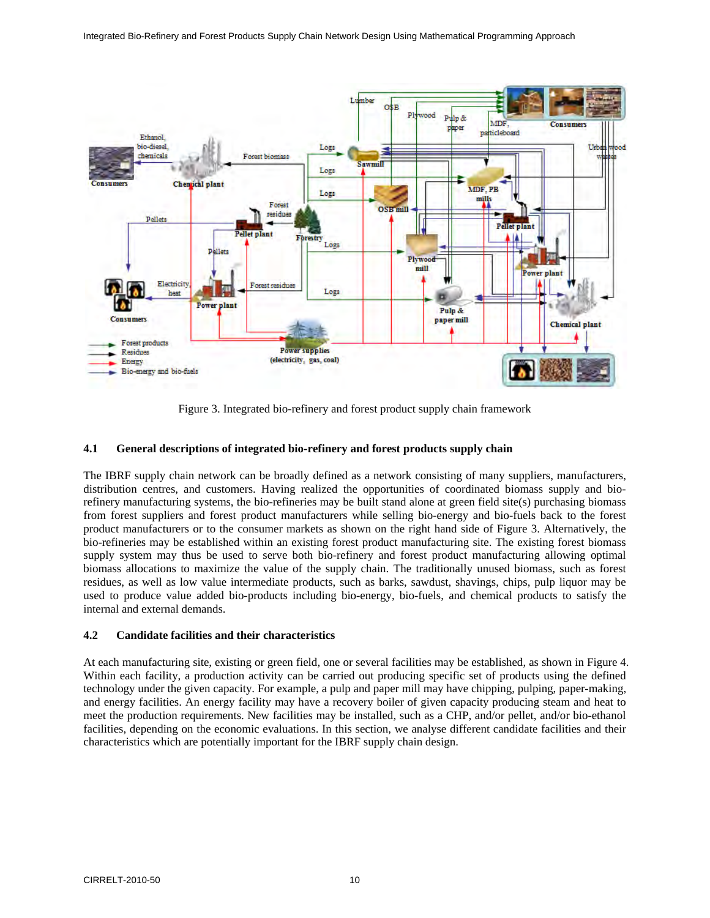

Figure 3. Integrated bio-refinery and forest product supply chain framework

### **4.1 General descriptions of integrated bio-refinery and forest products supply chain**

The IBRF supply chain network can be broadly defined as a network consisting of many suppliers, manufacturers, distribution centres, and customers. Having realized the opportunities of coordinated biomass supply and biorefinery manufacturing systems, the bio-refineries may be built stand alone at green field site(s) purchasing biomass from forest suppliers and forest product manufacturers while selling bio-energy and bio-fuels back to the forest product manufacturers or to the consumer markets as shown on the right hand side of Figure 3. Alternatively, the bio-refineries may be established within an existing forest product manufacturing site. The existing forest biomass supply system may thus be used to serve both bio-refinery and forest product manufacturing allowing optimal biomass allocations to maximize the value of the supply chain. The traditionally unused biomass, such as forest residues, as well as low value intermediate products, such as barks, sawdust, shavings, chips, pulp liquor may be used to produce value added bio-products including bio-energy, bio-fuels, and chemical products to satisfy the internal and external demands.

### **4.2 Candidate facilities and their characteristics**

At each manufacturing site, existing or green field, one or several facilities may be established, as shown in Figure 4. Within each facility, a production activity can be carried out producing specific set of products using the defined technology under the given capacity. For example, a pulp and paper mill may have chipping, pulping, paper-making, and energy facilities. An energy facility may have a recovery boiler of given capacity producing steam and heat to meet the production requirements. New facilities may be installed, such as a CHP, and/or pellet, and/or bio-ethanol facilities, depending on the economic evaluations. In this section, we analyse different candidate facilities and their characteristics which are potentially important for the IBRF supply chain design.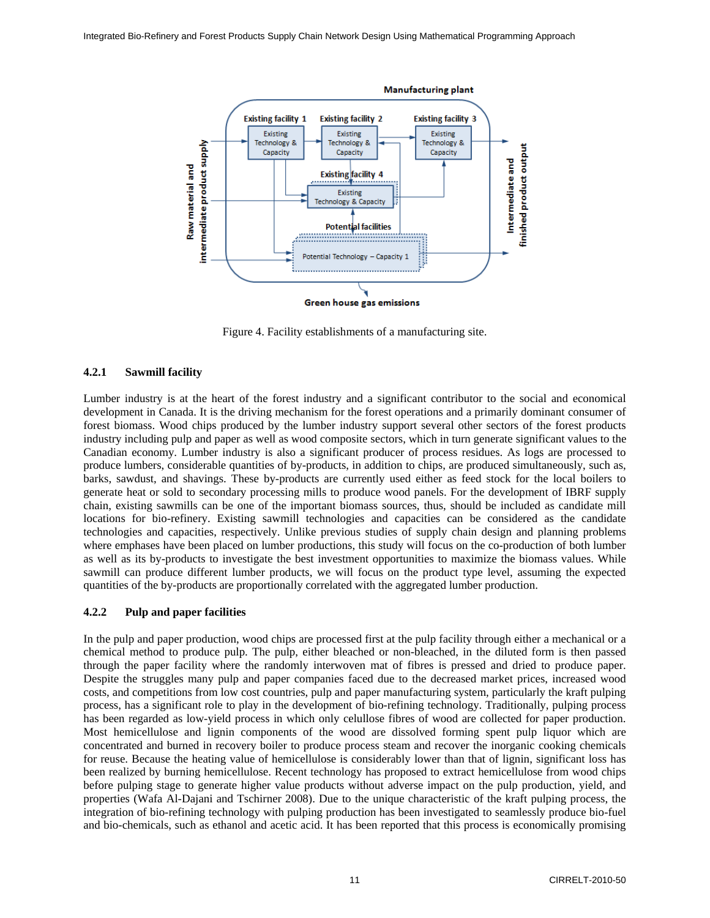

Figure 4. Facility establishments of a manufacturing site.

### **4.2.1 Sawmill facility**

Lumber industry is at the heart of the forest industry and a significant contributor to the social and economical development in Canada. It is the driving mechanism for the forest operations and a primarily dominant consumer of forest biomass. Wood chips produced by the lumber industry support several other sectors of the forest products industry including pulp and paper as well as wood composite sectors, which in turn generate significant values to the Canadian economy. Lumber industry is also a significant producer of process residues. As logs are processed to produce lumbers, considerable quantities of by-products, in addition to chips, are produced simultaneously, such as, barks, sawdust, and shavings. These by-products are currently used either as feed stock for the local boilers to generate heat or sold to secondary processing mills to produce wood panels. For the development of IBRF supply chain, existing sawmills can be one of the important biomass sources, thus, should be included as candidate mill locations for bio-refinery. Existing sawmill technologies and capacities can be considered as the candidate technologies and capacities, respectively. Unlike previous studies of supply chain design and planning problems where emphases have been placed on lumber productions, this study will focus on the co-production of both lumber as well as its by-products to investigate the best investment opportunities to maximize the biomass values. While sawmill can produce different lumber products, we will focus on the product type level, assuming the expected quantities of the by-products are proportionally correlated with the aggregated lumber production.

### **4.2.2 Pulp and paper facilities**

In the pulp and paper production, wood chips are processed first at the pulp facility through either a mechanical or a chemical method to produce pulp. The pulp, either bleached or non-bleached, in the diluted form is then passed through the paper facility where the randomly interwoven mat of fibres is pressed and dried to produce paper. Despite the struggles many pulp and paper companies faced due to the decreased market prices, increased wood costs, and competitions from low cost countries, pulp and paper manufacturing system, particularly the kraft pulping process, has a significant role to play in the development of bio-refining technology. Traditionally, pulping process has been regarded as low-yield process in which only celullose fibres of wood are collected for paper production. Most hemicellulose and lignin components of the wood are dissolved forming spent pulp liquor which are concentrated and burned in recovery boiler to produce process steam and recover the inorganic cooking chemicals for reuse. Because the heating value of hemicellulose is considerably lower than that of lignin, significant loss has been realized by burning hemicellulose. Recent technology has proposed to extract hemicellulose from wood chips before pulping stage to generate higher value products without adverse impact on the pulp production, yield, and properties (Wafa Al-Dajani and Tschirner 2008). Due to the unique characteristic of the kraft pulping process, the integration of bio-refining technology with pulping production has been investigated to seamlessly produce bio-fuel and bio-chemicals, such as ethanol and acetic acid. It has been reported that this process is economically promising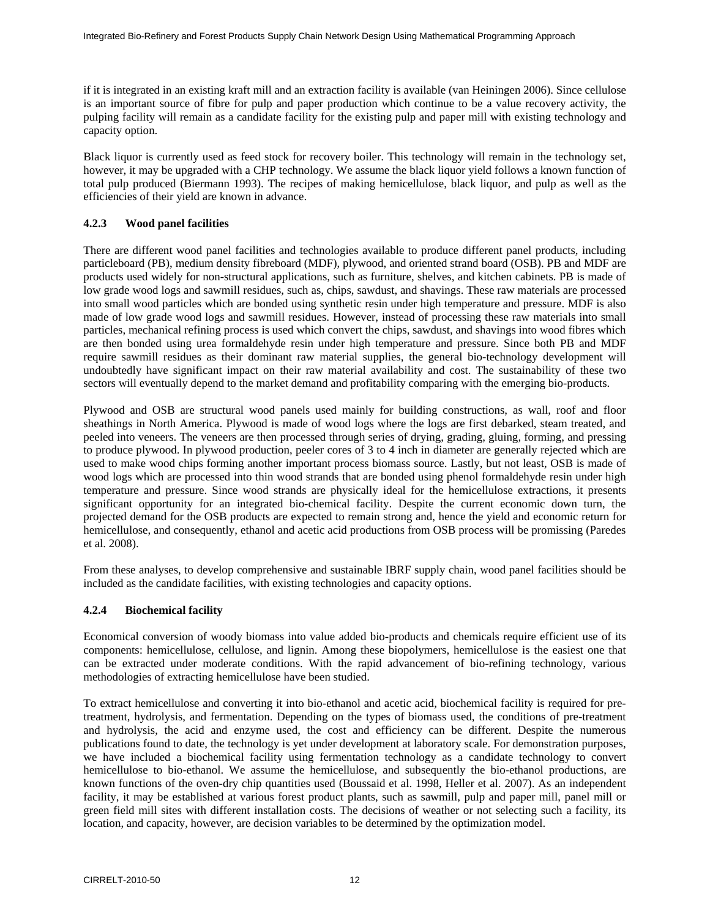if it is integrated in an existing kraft mill and an extraction facility is available (van Heiningen 2006). Since cellulose is an important source of fibre for pulp and paper production which continue to be a value recovery activity, the pulping facility will remain as a candidate facility for the existing pulp and paper mill with existing technology and capacity option.

Black liquor is currently used as feed stock for recovery boiler. This technology will remain in the technology set, however, it may be upgraded with a CHP technology. We assume the black liquor yield follows a known function of total pulp produced (Biermann 1993). The recipes of making hemicellulose, black liquor, and pulp as well as the efficiencies of their yield are known in advance.

# **4.2.3 Wood panel facilities**

There are different wood panel facilities and technologies available to produce different panel products, including particleboard (PB), medium density fibreboard (MDF), plywood, and oriented strand board (OSB). PB and MDF are products used widely for non-structural applications, such as furniture, shelves, and kitchen cabinets. PB is made of low grade wood logs and sawmill residues, such as, chips, sawdust, and shavings. These raw materials are processed into small wood particles which are bonded using synthetic resin under high temperature and pressure. MDF is also made of low grade wood logs and sawmill residues. However, instead of processing these raw materials into small particles, mechanical refining process is used which convert the chips, sawdust, and shavings into wood fibres which are then bonded using urea formaldehyde resin under high temperature and pressure. Since both PB and MDF require sawmill residues as their dominant raw material supplies, the general bio-technology development will undoubtedly have significant impact on their raw material availability and cost. The sustainability of these two sectors will eventually depend to the market demand and profitability comparing with the emerging bio-products.

Plywood and OSB are structural wood panels used mainly for building constructions, as wall, roof and floor sheathings in North America. Plywood is made of wood logs where the logs are first debarked, steam treated, and peeled into veneers. The veneers are then processed through series of drying, grading, gluing, forming, and pressing to produce plywood. In plywood production, peeler cores of 3 to 4 inch in diameter are generally rejected which are used to make wood chips forming another important process biomass source. Lastly, but not least, OSB is made of wood logs which are processed into thin wood strands that are bonded using phenol formaldehyde resin under high temperature and pressure. Since wood strands are physically ideal for the hemicellulose extractions, it presents significant opportunity for an integrated bio-chemical facility. Despite the current economic down turn, the projected demand for the OSB products are expected to remain strong and, hence the yield and economic return for hemicellulose, and consequently, ethanol and acetic acid productions from OSB process will be promissing (Paredes et al. 2008).

From these analyses, to develop comprehensive and sustainable IBRF supply chain, wood panel facilities should be included as the candidate facilities, with existing technologies and capacity options.

# **4.2.4 Biochemical facility**

Economical conversion of woody biomass into value added bio-products and chemicals require efficient use of its components: hemicellulose, cellulose, and lignin. Among these biopolymers, hemicellulose is the easiest one that can be extracted under moderate conditions. With the rapid advancement of bio-refining technology, various methodologies of extracting hemicellulose have been studied.

To extract hemicellulose and converting it into bio-ethanol and acetic acid, biochemical facility is required for pretreatment, hydrolysis, and fermentation. Depending on the types of biomass used, the conditions of pre-treatment and hydrolysis, the acid and enzyme used, the cost and efficiency can be different. Despite the numerous publications found to date, the technology is yet under development at laboratory scale. For demonstration purposes, we have included a biochemical facility using fermentation technology as a candidate technology to convert hemicellulose to bio-ethanol. We assume the hemicellulose, and subsequently the bio-ethanol productions, are known functions of the oven-dry chip quantities used (Boussaid et al. 1998, Heller et al. 2007). As an independent facility, it may be established at various forest product plants, such as sawmill, pulp and paper mill, panel mill or green field mill sites with different installation costs. The decisions of weather or not selecting such a facility, its location, and capacity, however, are decision variables to be determined by the optimization model.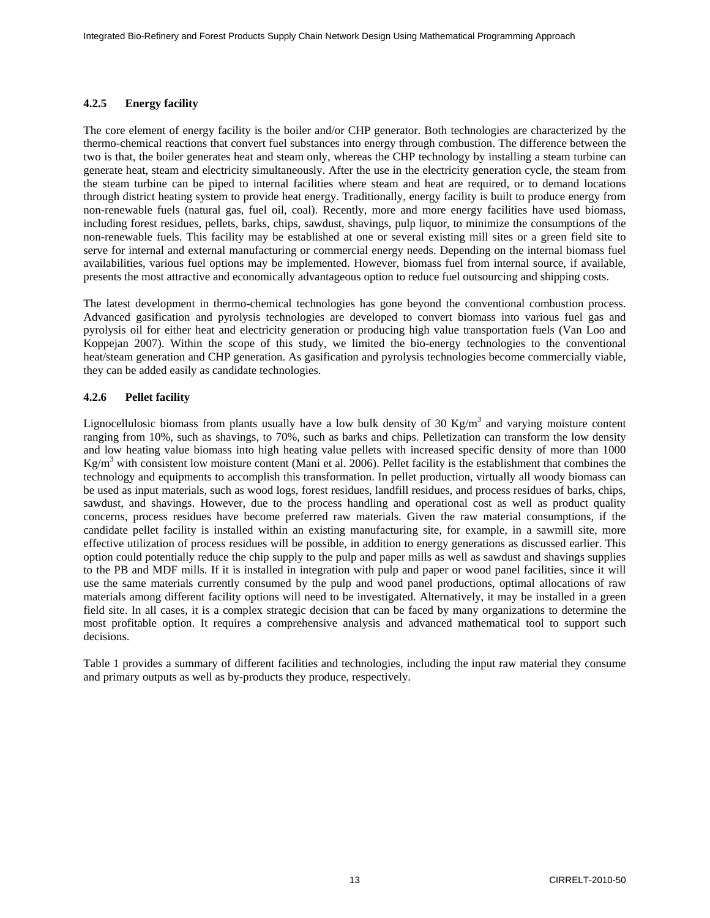# **4.2.5 Energy facility**

The core element of energy facility is the boiler and/or CHP generator. Both technologies are characterized by the thermo-chemical reactions that convert fuel substances into energy through combustion. The difference between the two is that, the boiler generates heat and steam only, whereas the CHP technology by installing a steam turbine can generate heat, steam and electricity simultaneously. After the use in the electricity generation cycle, the steam from the steam turbine can be piped to internal facilities where steam and heat are required, or to demand locations through district heating system to provide heat energy. Traditionally, energy facility is built to produce energy from non-renewable fuels (natural gas, fuel oil, coal). Recently, more and more energy facilities have used biomass, including forest residues, pellets, barks, chips, sawdust, shavings, pulp liquor, to minimize the consumptions of the non-renewable fuels. This facility may be established at one or several existing mill sites or a green field site to serve for internal and external manufacturing or commercial energy needs. Depending on the internal biomass fuel availabilities, various fuel options may be implemented. However, biomass fuel from internal source, if available, presents the most attractive and economically advantageous option to reduce fuel outsourcing and shipping costs.

The latest development in thermo-chemical technologies has gone beyond the conventional combustion process. Advanced gasification and pyrolysis technologies are developed to convert biomass into various fuel gas and pyrolysis oil for either heat and electricity generation or producing high value transportation fuels (Van Loo and Koppejan 2007). Within the scope of this study, we limited the bio-energy technologies to the conventional heat/steam generation and CHP generation. As gasification and pyrolysis technologies become commercially viable, they can be added easily as candidate technologies.

# **4.2.6 Pellet facility**

Lignocellulosic biomass from plants usually have a low bulk density of 30 Kg/m<sup>3</sup> and varying moisture content ranging from 10%, such as shavings, to 70%, such as barks and chips. Pelletization can transform the low density and low heating value biomass into high heating value pellets with increased specific density of more than 1000  $Kg/m<sup>3</sup>$  with consistent low moisture content (Mani et al. 2006). Pellet facility is the establishment that combines the technology and equipments to accomplish this transformation. In pellet production, virtually all woody biomass can be used as input materials, such as wood logs, forest residues, landfill residues, and process residues of barks, chips, sawdust, and shavings. However, due to the process handling and operational cost as well as product quality concerns, process residues have become preferred raw materials. Given the raw material consumptions, if the candidate pellet facility is installed within an existing manufacturing site, for example, in a sawmill site, more effective utilization of process residues will be possible, in addition to energy generations as discussed earlier. This option could potentially reduce the chip supply to the pulp and paper mills as well as sawdust and shavings supplies to the PB and MDF mills. If it is installed in integration with pulp and paper or wood panel facilities, since it will use the same materials currently consumed by the pulp and wood panel productions, optimal allocations of raw materials among different facility options will need to be investigated. Alternatively, it may be installed in a green field site. In all cases, it is a complex strategic decision that can be faced by many organizations to determine the most profitable option. It requires a comprehensive analysis and advanced mathematical tool to support such decisions.

Table 1 provides a summary of different facilities and technologies, including the input raw material they consume and primary outputs as well as by-products they produce, respectively.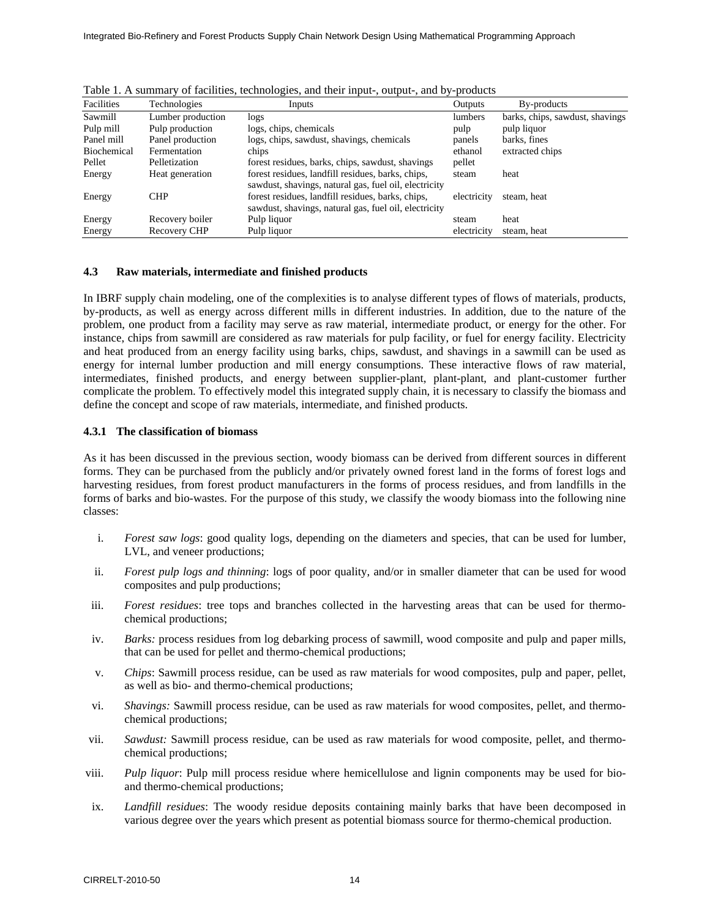| Facilities  | Technologies      | Inputs                                                                                                     | Outputs     | By-products                     |
|-------------|-------------------|------------------------------------------------------------------------------------------------------------|-------------|---------------------------------|
| Sawmill     | Lumber production | logs                                                                                                       | lumbers     | barks, chips, sawdust, shavings |
| Pulp mill   | Pulp production   | logs, chips, chemicals                                                                                     | pulp        | pulp liquor                     |
| Panel mill  | Panel production  | logs, chips, sawdust, shavings, chemicals                                                                  | panels      | barks, fines                    |
| Biochemical | Fermentation      | chips                                                                                                      | ethanol     | extracted chips                 |
| Pellet      | Pelletization     | forest residues, barks, chips, sawdust, shavings                                                           | pellet      |                                 |
| Energy      | Heat generation   | forest residues, landfill residues, barks, chips,<br>sawdust, shavings, natural gas, fuel oil, electricity | steam       | heat                            |
| Energy      | <b>CHP</b>        | forest residues, landfill residues, barks, chips,<br>sawdust, shavings, natural gas, fuel oil, electricity | electricity | steam, heat                     |
| Energy      | Recovery boiler   | Pulp liquor                                                                                                | steam       | heat                            |
| Energy      | Recovery CHP      | Pulp liquor                                                                                                | electricity | steam, heat                     |

Table 1. A summary of facilities, technologies, and their input-, output-, and by-products

### **4.3 Raw materials, intermediate and finished products**

In IBRF supply chain modeling, one of the complexities is to analyse different types of flows of materials, products, by-products, as well as energy across different mills in different industries. In addition, due to the nature of the problem, one product from a facility may serve as raw material, intermediate product, or energy for the other. For instance, chips from sawmill are considered as raw materials for pulp facility, or fuel for energy facility. Electricity and heat produced from an energy facility using barks, chips, sawdust, and shavings in a sawmill can be used as energy for internal lumber production and mill energy consumptions. These interactive flows of raw material, intermediates, finished products, and energy between supplier-plant, plant-plant, and plant-customer further complicate the problem. To effectively model this integrated supply chain, it is necessary to classify the biomass and define the concept and scope of raw materials, intermediate, and finished products.

#### **4.3.1 The classification of biomass**

As it has been discussed in the previous section, woody biomass can be derived from different sources in different forms. They can be purchased from the publicly and/or privately owned forest land in the forms of forest logs and harvesting residues, from forest product manufacturers in the forms of process residues, and from landfills in the forms of barks and bio-wastes. For the purpose of this study, we classify the woody biomass into the following nine classes:

- i. *Forest saw logs*: good quality logs, depending on the diameters and species, that can be used for lumber, LVL, and veneer productions;
- ii. *Forest pulp logs and thinning*: logs of poor quality, and/or in smaller diameter that can be used for wood composites and pulp productions;
- iii. *Forest residues*: tree tops and branches collected in the harvesting areas that can be used for thermochemical productions;
- iv. *Barks:* process residues from log debarking process of sawmill, wood composite and pulp and paper mills, that can be used for pellet and thermo-chemical productions;
- v. *Chips*: Sawmill process residue, can be used as raw materials for wood composites, pulp and paper, pellet, as well as bio- and thermo-chemical productions;
- vi. *Shavings:* Sawmill process residue, can be used as raw materials for wood composites, pellet, and thermochemical productions;
- vii. *Sawdust:* Sawmill process residue, can be used as raw materials for wood composite, pellet, and thermochemical productions;
- viii. *Pulp liquor*: Pulp mill process residue where hemicellulose and lignin components may be used for bioand thermo-chemical productions;
- ix. *Landfill residues*: The woody residue deposits containing mainly barks that have been decomposed in various degree over the years which present as potential biomass source for thermo-chemical production.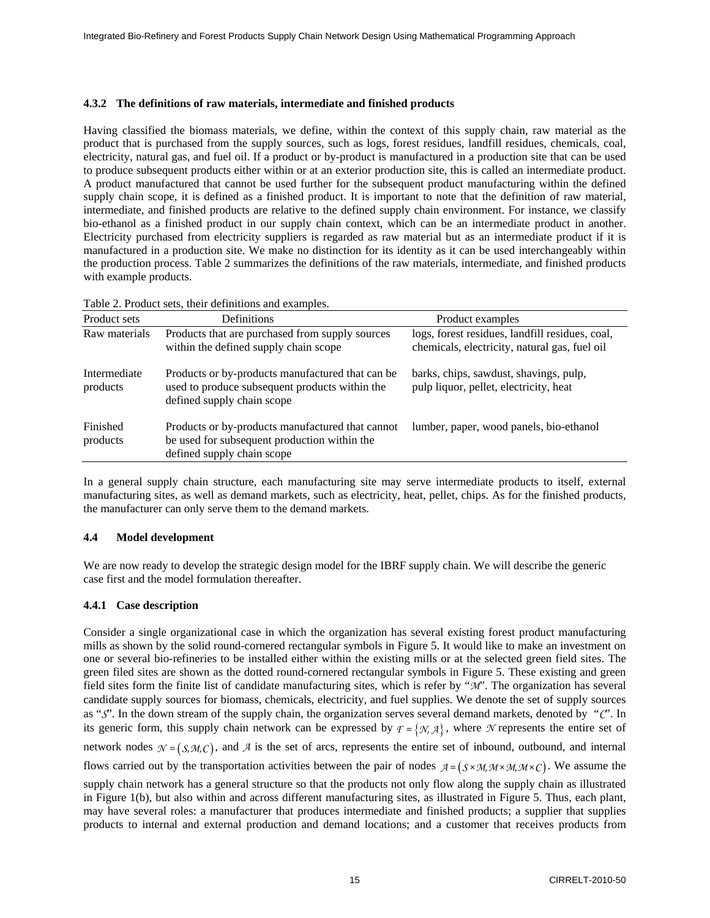### **4.3.2 The definitions of raw materials, intermediate and finished products**

Having classified the biomass materials, we define, within the context of this supply chain, raw material as the product that is purchased from the supply sources, such as logs, forest residues, landfill residues, chemicals, coal, electricity, natural gas, and fuel oil. If a product or by-product is manufactured in a production site that can be used to produce subsequent products either within or at an exterior production site, this is called an intermediate product. A product manufactured that cannot be used further for the subsequent product manufacturing within the defined supply chain scope, it is defined as a finished product. It is important to note that the definition of raw material, intermediate, and finished products are relative to the defined supply chain environment. For instance, we classify bio-ethanol as a finished product in our supply chain context, which can be an intermediate product in another. Electricity purchased from electricity suppliers is regarded as raw material but as an intermediate product if it is manufactured in a production site. We make no distinction for its identity as it can be used interchangeably within the production process. Table 2 summarizes the definitions of the raw materials, intermediate, and finished products with example products.

| Product sets             | Definitions                                                                                                                       | Product examples                                                                                 |
|--------------------------|-----------------------------------------------------------------------------------------------------------------------------------|--------------------------------------------------------------------------------------------------|
| Raw materials            | Products that are purchased from supply sources<br>within the defined supply chain scope                                          | logs, forest residues, landfill residues, coal,<br>chemicals, electricity, natural gas, fuel oil |
| Intermediate<br>products | Products or by-products manufactured that can be.<br>used to produce subsequent products within the<br>defined supply chain scope | barks, chips, sawdust, shavings, pulp,<br>pulp liquor, pellet, electricity, heat                 |
| Finished<br>products     | Products or by-products manufactured that cannot<br>be used for subsequent production within the<br>defined supply chain scope    | lumber, paper, wood panels, bio-ethanol                                                          |

Table 2. Product sets, their definitions and examples.

In a general supply chain structure, each manufacturing site may serve intermediate products to itself, external manufacturing sites, as well as demand markets, such as electricity, heat, pellet, chips. As for the finished products, the manufacturer can only serve them to the demand markets.

# **4.4 Model development**

We are now ready to develop the strategic design model for the IBRF supply chain. We will describe the generic case first and the model formulation thereafter.

# **4.4.1 Case description**

Consider a single organizational case in which the organization has several existing forest product manufacturing mills as shown by the solid round-cornered rectangular symbols in Figure 5. It would like to make an investment on one or several bio-refineries to be installed either within the existing mills or at the selected green field sites. The green filed sites are shown as the dotted round-cornered rectangular symbols in Figure 5. These existing and green field sites form the finite list of candidate manufacturing sites, which is refer by "*M*". The organization has several candidate supply sources for biomass, chemicals, electricity, and fuel supplies. We denote the set of supply sources as "*S*". In the down stream of the supply chain, the organization serves several demand markets, denoted by "*C*". In its generic form, this supply chain network can be expressed by  $T = \{N, A\}$ , where *N* represents the entire set of network nodes  $\mathcal{N} = (S, M, C)$ , and  $\mathcal{A}$  is the set of arcs, represents the entire set of inbound, outbound, and internal flows carried out by the transportation activities between the pair of nodes  $A = (S \times M, M \times M, M \times C)$ . We assume the supply chain network has a general structure so that the products not only flow along the supply chain as illustrated in Figure 1(b), but also within and across different manufacturing sites, as illustrated in Figure 5. Thus, each plant, may have several roles: a manufacturer that produces intermediate and finished products; a supplier that supplies

products to internal and external production and demand locations; and a customer that receives products from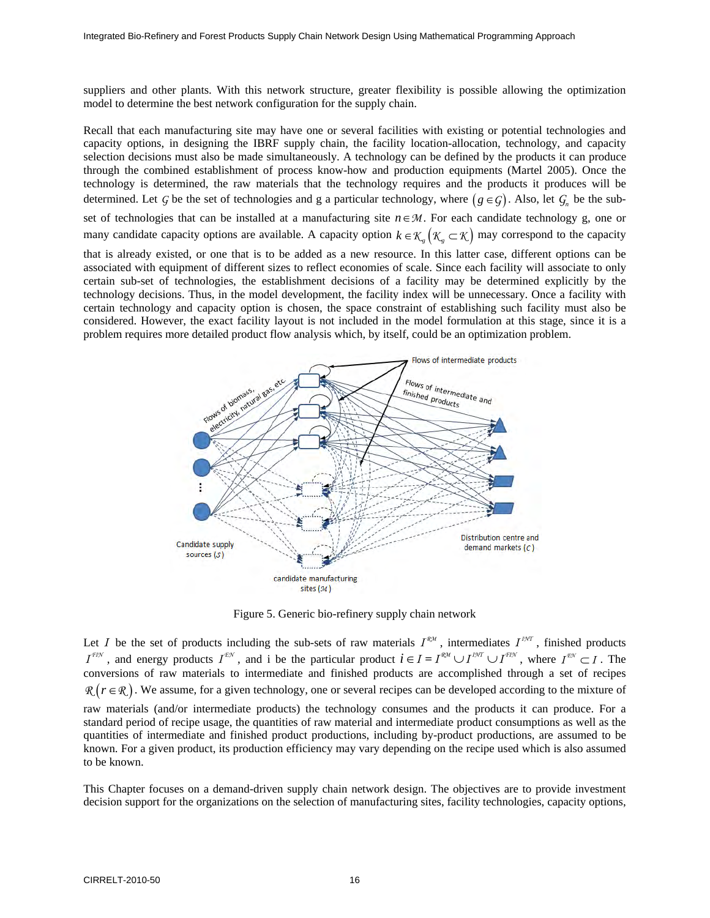suppliers and other plants. With this network structure, greater flexibility is possible allowing the optimization model to determine the best network configuration for the supply chain.

Recall that each manufacturing site may have one or several facilities with existing or potential technologies and capacity options, in designing the IBRF supply chain, the facility location-allocation, technology, and capacity selection decisions must also be made simultaneously. A technology can be defined by the products it can produce through the combined establishment of process know-how and production equipments (Martel 2005). Once the technology is determined, the raw materials that the technology requires and the products it produces will be determined. Let *G* be the set of technologies and g a particular technology, where  $(g \in G)$ . Also, let  $G_n$  be the subset of technologies that can be installed at a manufacturing site *n*∈*M* . For each candidate technology g, one or many candidate capacity options are available. A capacity option  $k \in \mathcal{K}$   $(\mathcal{K}_\varphi \subset \mathcal{K})$  may correspond to the capacity that is already existed, or one that is to be added as a new resource. In this latter case, different options can be associated with equipment of different sizes to reflect economies of scale. Since each facility will associate to only certain sub-set of technologies, the establishment decisions of a facility may be determined explicitly by the technology decisions. Thus, in the model development, the facility index will be unnecessary. Once a facility with certain technology and capacity option is chosen, the space constraint of establishing such facility must also be considered. However, the exact facility layout is not included in the model formulation at this stage, since it is a



Figure 5. Generic bio-refinery supply chain network

Let *I* be the set of products including the sub-sets of raw materials  $I^{\text{RM}}$ , intermediates  $I^{\text{IM}}$ , finished products  $I^{FIN}$ , and energy products  $I^{FIN}$ , and *i* be the particular product  $i \in I = I^{RIM} \cup I^{INT} \cup I^{FIN}$ , where  $I^{FIN} \subset I$ . The conversions of raw materials to intermediate and finished products are accomplished through a set of recipes  $R$  ( $r \in R$ ). We assume, for a given technology, one or several recipes can be developed according to the mixture of raw materials (and/or intermediate products) the technology consumes and the products it can produce. For a standard period of recipe usage, the quantities of raw material and intermediate product consumptions as well as the quantities of intermediate and finished product productions, including by-product productions, are assumed to be known. For a given product, its production efficiency may vary depending on the recipe used which is also assumed to be known.

This Chapter focuses on a demand-driven supply chain network design. The objectives are to provide investment decision support for the organizations on the selection of manufacturing sites, facility technologies, capacity options,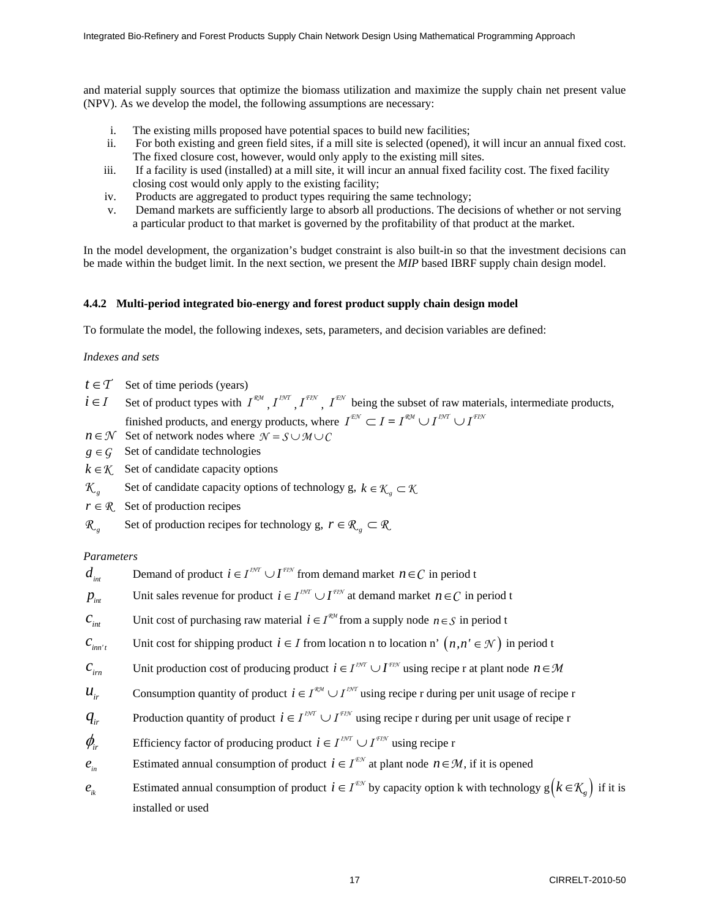and material supply sources that optimize the biomass utilization and maximize the supply chain net present value (NPV). As we develop the model, the following assumptions are necessary:

- i. The existing mills proposed have potential spaces to build new facilities;
- ii. For both existing and green field sites, if a mill site is selected (opened), it will incur an annual fixed cost. The fixed closure cost, however, would only apply to the existing mill sites.
- iii. If a facility is used (installed) at a mill site, it will incur an annual fixed facility cost. The fixed facility closing cost would only apply to the existing facility;
- iv. Products are aggregated to product types requiring the same technology;
- v. Demand markets are sufficiently large to absorb all productions. The decisions of whether or not serving a particular product to that market is governed by the profitability of that product at the market.

In the model development, the organization's budget constraint is also built-in so that the investment decisions can be made within the budget limit. In the next section, we present the *MIP* based IBRF supply chain design model.

### **4.4.2 Multi-period integrated bio-energy and forest product supply chain design model**

To formulate the model, the following indexes, sets, parameters, and decision variables are defined:

### *Indexes and sets*

- $t \in \mathcal{T}$  Set of time periods (years)
- *i*∈*I* Set of product types with  $I^{\mathcal{RM}}$ ,  $I^{\mathcal{IM}}$ ,  $I^{\mathcal{EN}}$ ,  $I^{\mathcal{EM}}$  being the subset of raw materials, intermediate products, finished products, and energy products, where  $I^{\text{EM}} \subset I = I^{\text{RM}} \cup I^{\text{IM}} \cup I^{\text{FIN}}$
- *n*∈*N* Set of network nodes where  $N = S \cup M \cup C$
- $g \in G$  Set of candidate technologies
- $k \in \mathcal{K}$  Set of candidate capacity options
- *K g* Set of candidate capacity options of technology g,  $k \in \mathcal{K}$   $\subset \mathcal{K}$
- $r \in \mathbb{R}$  Set of production recipes
- *R*<sub>*g*</sub> Set of production recipes for technology g,  $r \in \mathbb{R}$   $\subset \mathbb{R}$

### *Parameters*

| $d_{\scriptscriptstyle\it int}$ | Demand of product $i \in I^{I^{M} \cap I^{I^{I} \cap I^{I^{M}}}$ from demand market $n \in C$ in period t                                    |
|---------------------------------|----------------------------------------------------------------------------------------------------------------------------------------------|
| $p_{\scriptscriptstyle\it int}$ | Unit sales revenue for product $i \in I^{m} \cup I^{m}$ at demand market $n \in C$ in period t                                               |
| $c_{\rm int}$                   | Unit cost of purchasing raw material $i \in I^{\mathcal{R} \mathcal{H}}$ from a supply node $n \in S$ in period t                            |
| $c_{_{im't}}$                   | Unit cost for shipping product $i \in I$ from location n to location n' $(n, n' \in \mathcal{N})$ in period t                                |
| $c_{_{im}}$                     | Unit production cost of producing product $i \in I^{m} \cup I^{m}$ using recipe r at plant node $n \in M$                                    |
| $u_{ir}$                        | Consumption quantity of product $i \in I^{\mathcal{RM}} \cup I^{\mathcal{IM}}$ using recipe r during per unit usage of recipe r              |
| $q_{ir}$                        | Production quantity of product $i \in I^{I^{N} \cap I} \cup I^{I^{I N}}$ using recipe r during per unit usage of recipe r                    |
| $\phi_{ir}$                     | Efficiency factor of producing product $i \in I^{IMT} \cup I^{ITM}$ using recipe r                                                           |
| $\boldsymbol{e}_{_{in}}$        | Estimated annual consumption of product $i \in I^{\text{max}}$ at plant node $n \in \mathcal{M}$ , if it is opened                           |
| $e_{ik}$                        | Estimated annual consumption of product $i \in I^{\text{EM}}$ by capacity option k with technology $g(k \in \mathcal{K}_{\varphi})$ if it is |
|                                 | installed or used                                                                                                                            |
|                                 |                                                                                                                                              |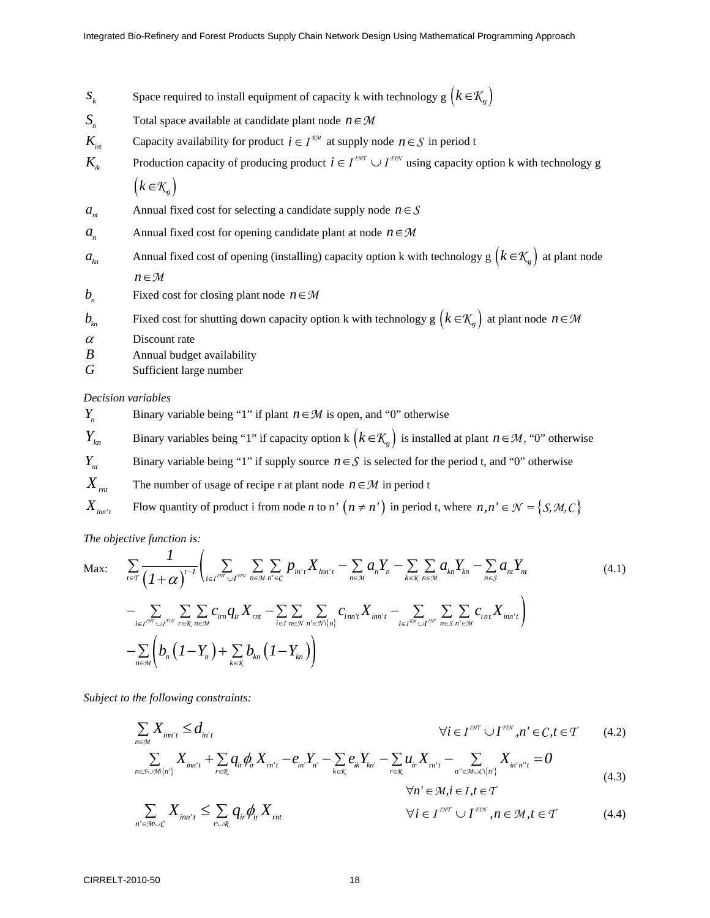- *S<sub>k</sub>* Space required to install equipment of capacity k with technology g  $(k \in K_g)$
- *S<sub>n</sub>* Total space available at candidate plant node  $n \in M$
- *K<sub>int</sub>* Capacity availability for product  $i \in I^{\mathcal{RM}}$  at supply node  $n \in S$  in period t
- *K<sub>ik</sub>* Production capacity of producing product  $i \in I^{IMT} \cup I^{ITM}$  using capacity option k with technology g  $(k \in K_{n})$
- *a<sub>nt</sub>* Annual fixed cost for selecting a candidate supply node  $n \in S$
- *a*<sub>n</sub> Annual fixed cost for opening candidate plant at node  $n \in M$
- *k<sub>n</sub>* Annual fixed cost of opening (installing) capacity option k with technology g  $(k \in \mathcal{K}_g)$  at plant node *n*∈*M*
- *b* Fixed cost for closing plant node  $n \in M$
- *b<sub>in</sub>* Fixed cost for shutting down capacity option k with technology g  $(k \in \mathcal{K}_g)$  at plant node  $n \in \mathcal{M}$
- $\alpha$  Discount rate
- *B* Annual budget availability
- *G* Sufficient large number

#### *Decision variables*

- *Y<sub>n</sub>* Binary variable being "1" if plant *n* ∈ *M* is open, and "0" otherwise
- *Y<sub>kn</sub>* Binary variables being "1" if capacity option k  $(k \in K_g)$  is installed at plant  $n \in \mathcal{M}$ , "0" otherwise
- *Y<sub>nt</sub>* Binary variable being "1" if supply source  $n \in S$  is selected for the period t, and "0" otherwise
- *X<sub>rnt</sub>* The number of usage of recipe r at plant node  $n \in \mathcal{M}$  in period t
- *X<sub>im't</sub>* Flow quantity of product i from node *n* to n'  $(n \neq n')$  in period t, where  $n, n' \in \mathcal{N} = \{S, \mathcal{M}, C\}$

*The objective function is:* 

$$
\text{Max:} \quad \sum_{t \in T} \frac{1}{(1+\alpha)^{t-1}} \Biggl(\sum_{i \in I^{D/T} \cup I^{F\text{EV}}} \sum_{n \in \mathcal{M}} \sum_{n' \in C} p_{in't} X_{im't} - \sum_{n \in \mathcal{M}} a_n Y_n - \sum_{k \in \mathcal{K}} \sum_{n \in \mathcal{M}} a_{kn} Y_{kn} - \sum_{n \in S} a_{nt} Y_{nt} - \sum_{n \in S} \sum_{n' \in \mathcal{M}} \sum_{i \in I^{D/T} \cup I^{F\text{EV}}} \sum_{r \in \mathcal{R}} \sum_{n \in \mathcal{M}} c_{im} q_{ir} X_{mt} - \sum_{i \in I} \sum_{n \in \mathcal{N}} \sum_{n' \in \mathcal{N} \setminus \{n\}} c_{im't} X_{im't} - \sum_{i \in I^{R\mathcal{M}} \cup I^{D\mathcal{N}}} \sum_{n \in S} \sum_{n' \in \mathcal{M}} c_{int} X_{im't} \Biggr)
$$
\n
$$
- \sum_{n \in \mathcal{M}} \left( b_n (1 - Y_n) + \sum_{k \in \mathcal{K}} b_{kn} (1 - Y_{kn}) \right)
$$
\n(4.1)

*Subject to the following constraints:* 

$$
\sum_{n \in \mathcal{M}} X_{im'i} \le d_{in'i} \qquad \qquad \forall i \in I^{\text{EVC}} \cup I^{\text{EEV}}, n' \in C, t \in T \qquad (4.2)
$$

$$
\sum_{n \in S \cup \mathcal{M}\{n'\}} X_{i m' t} + \sum_{r \in \mathcal{R}} q_{ir} \phi_{ir} X_{m' t} - e_{in'} Y_{n'} - \sum_{k \in \mathcal{K}} e_{ik} Y_{k n'} - \sum_{r \in \mathcal{R}} u_{ir} X_{m' t} - \sum_{n'' \in \mathcal{M} \cup \mathcal{C}\{n'\}} X_{i n' n'' t} = 0
$$
\n(4.3)

$$
\forall n' \in \mathcal{M}, i \in I, t \in T
$$

$$
\sum_{n' \in \mathcal{M} \cup C} X_{i n n' t} \le \sum_{r \cup \mathcal{R}} q_{ir} \phi_{ir} X_{r n t} \qquad \qquad \forall i \in I^{\mathit{INT}} \cup I^{\mathit{FIN}}, n \in \mathcal{M}, t \in \mathcal{T} \qquad (4.4)
$$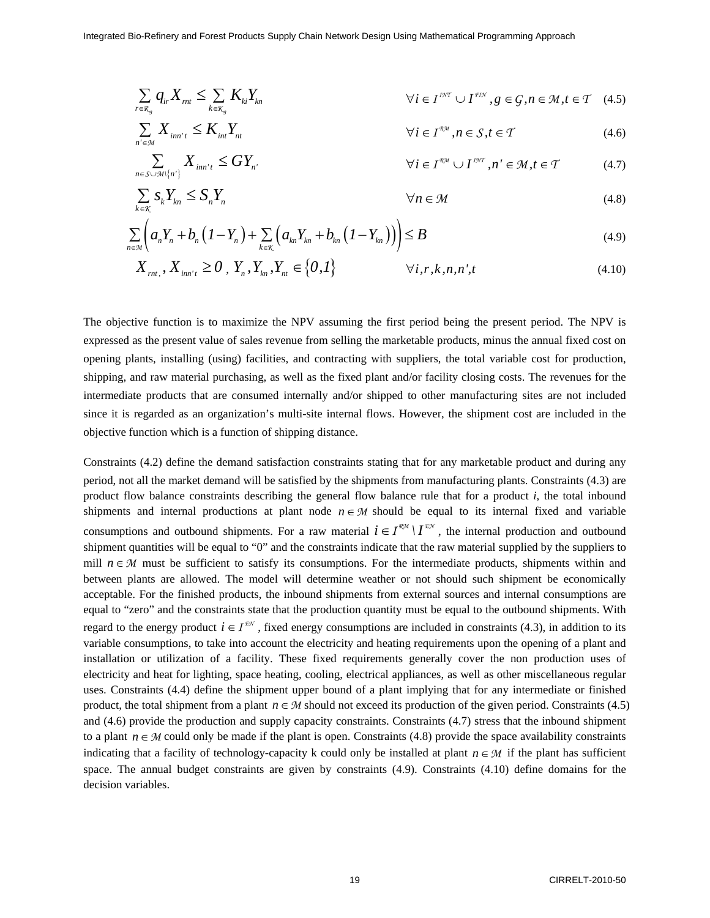$$
\sum_{r \in \mathcal{R}_g} q_{ir} X_{mt} \le \sum_{k \in \mathcal{K}_g} K_{ki} Y_{kn} \qquad \forall i \in I^{\text{INT}} \cup I^{\text{FIN}}, g \in \mathcal{G}, n \in \mathcal{M}, t \in \mathcal{T} \quad (4.5)
$$

$$
\sum_{n' \in \mathcal{M}} X_{i n i'} \leq K_{i n} Y_{n t} \qquad \qquad \forall i \in I^{\mathcal{RM}}, n \in S, t \in \mathcal{T} \qquad (4.6)
$$

$$
\sum_{n \in S \cup \mathcal{M} \setminus \{n'\}} X_{i n n' t} \le G Y_{n'} \qquad \qquad \forall i \in I^{\mathcal{RM}} \cup I^{\mathcal{M}}, n' \in \mathcal{M}, t \in \mathcal{T} \qquad (4.7)
$$

$$
\sum_{k \in \mathcal{K}} S_k Y_{kn} \le S_n Y_n \qquad \qquad \forall n \in \mathcal{M} \tag{4.8}
$$

$$
\sum_{n \in \mathcal{M}} \left( a_n Y_n + b_n \left( 1 - Y_n \right) + \sum_{k \in \mathcal{K}} \left( a_{kn} Y_{kn} + b_{kn} \left( 1 - Y_{kn} \right) \right) \right) \leq B \tag{4.9}
$$

$$
X_{rnt,}, X_{inr't} \ge 0, Y_n, Y_{kn}, Y_{nt} \in \{0,1\} \qquad \forall i, r, k, n, n', t
$$
\n(4.10)

The objective function is to maximize the NPV assuming the first period being the present period. The NPV is expressed as the present value of sales revenue from selling the marketable products, minus the annual fixed cost on opening plants, installing (using) facilities, and contracting with suppliers, the total variable cost for production, shipping, and raw material purchasing, as well as the fixed plant and/or facility closing costs. The revenues for the intermediate products that are consumed internally and/or shipped to other manufacturing sites are not included since it is regarded as an organization's multi-site internal flows. However, the shipment cost are included in the objective function which is a function of shipping distance.

Constraints (4.2) define the demand satisfaction constraints stating that for any marketable product and during any period, not all the market demand will be satisfied by the shipments from manufacturing plants. Constraints (4.3) are product flow balance constraints describing the general flow balance rule that for a product *i*, the total inbound shipments and internal productions at plant node  $n \in M$  should be equal to its internal fixed and variable consumptions and outbound shipments. For a raw material  $i \in I^{\mathcal{RM}} \setminus I^{\mathcal{LM}}$ , the internal production and outbound shipment quantities will be equal to "0" and the constraints indicate that the raw material supplied by the suppliers to mill  $n \in M$  must be sufficient to satisfy its consumptions. For the intermediate products, shipments within and between plants are allowed. The model will determine weather or not should such shipment be economically acceptable. For the finished products, the inbound shipments from external sources and internal consumptions are equal to "zero" and the constraints state that the production quantity must be equal to the outbound shipments. With regard to the energy product  $i \in I^{\mathcal{EN}}$ , fixed energy consumptions are included in constraints (4.3), in addition to its variable consumptions, to take into account the electricity and heating requirements upon the opening of a plant and installation or utilization of a facility. These fixed requirements generally cover the non production uses of electricity and heat for lighting, space heating, cooling, electrical appliances, as well as other miscellaneous regular uses. Constraints (4.4) define the shipment upper bound of a plant implying that for any intermediate or finished product, the total shipment from a plant  $n \in M$  should not exceed its production of the given period. Constraints (4.5) and (4.6) provide the production and supply capacity constraints. Constraints (4.7) stress that the inbound shipment to a plant  $n \in M$  could only be made if the plant is open. Constraints (4.8) provide the space availability constraints indicating that a facility of technology-capacity k could only be installed at plant  $n \in M$  if the plant has sufficient space. The annual budget constraints are given by constraints (4.9). Constraints (4.10) define domains for the decision variables.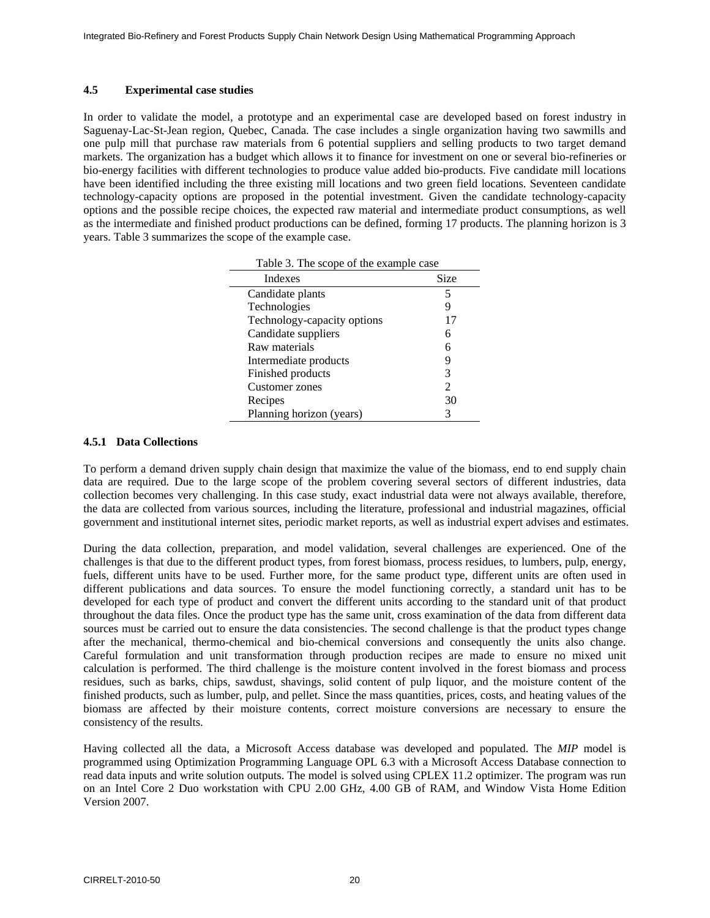### **4.5 Experimental case studies**

In order to validate the model, a prototype and an experimental case are developed based on forest industry in Saguenay-Lac-St-Jean region, Quebec, Canada. The case includes a single organization having two sawmills and one pulp mill that purchase raw materials from 6 potential suppliers and selling products to two target demand markets. The organization has a budget which allows it to finance for investment on one or several bio-refineries or bio-energy facilities with different technologies to produce value added bio-products. Five candidate mill locations have been identified including the three existing mill locations and two green field locations. Seventeen candidate technology-capacity options are proposed in the potential investment. Given the candidate technology-capacity options and the possible recipe choices, the expected raw material and intermediate product consumptions, as well as the intermediate and finished product productions can be defined, forming 17 products. The planning horizon is 3 years. Table 3 summarizes the scope of the example case.

| Table 3. The scope of the example case |               |  |  |
|----------------------------------------|---------------|--|--|
| <b>Indexes</b>                         | <b>Size</b>   |  |  |
| Candidate plants                       | 5             |  |  |
| Technologies                           |               |  |  |
| Technology-capacity options            | 17            |  |  |
| Candidate suppliers                    | 6             |  |  |
| Raw materials                          |               |  |  |
| Intermediate products                  | 9             |  |  |
| Finished products                      | 3             |  |  |
| Customer zones                         | $\mathcal{L}$ |  |  |
| Recipes                                | 30            |  |  |
| Planning horizon (years)               |               |  |  |

### **4.5.1 Data Collections**

To perform a demand driven supply chain design that maximize the value of the biomass, end to end supply chain data are required. Due to the large scope of the problem covering several sectors of different industries, data collection becomes very challenging. In this case study, exact industrial data were not always available, therefore, the data are collected from various sources, including the literature, professional and industrial magazines, official government and institutional internet sites, periodic market reports, as well as industrial expert advises and estimates.

During the data collection, preparation, and model validation, several challenges are experienced. One of the challenges is that due to the different product types, from forest biomass, process residues, to lumbers, pulp, energy, fuels, different units have to be used. Further more, for the same product type, different units are often used in different publications and data sources. To ensure the model functioning correctly, a standard unit has to be developed for each type of product and convert the different units according to the standard unit of that product throughout the data files. Once the product type has the same unit, cross examination of the data from different data sources must be carried out to ensure the data consistencies. The second challenge is that the product types change after the mechanical, thermo-chemical and bio-chemical conversions and consequently the units also change. Careful formulation and unit transformation through production recipes are made to ensure no mixed unit calculation is performed. The third challenge is the moisture content involved in the forest biomass and process residues, such as barks, chips, sawdust, shavings, solid content of pulp liquor, and the moisture content of the finished products, such as lumber, pulp, and pellet. Since the mass quantities, prices, costs, and heating values of the biomass are affected by their moisture contents, correct moisture conversions are necessary to ensure the consistency of the results.

Having collected all the data, a Microsoft Access database was developed and populated. The *MIP* model is programmed using Optimization Programming Language OPL 6.3 with a Microsoft Access Database connection to read data inputs and write solution outputs. The model is solved using CPLEX 11.2 optimizer. The program was run on an Intel Core 2 Duo workstation with CPU 2.00 GHz, 4.00 GB of RAM, and Window Vista Home Edition Version 2007.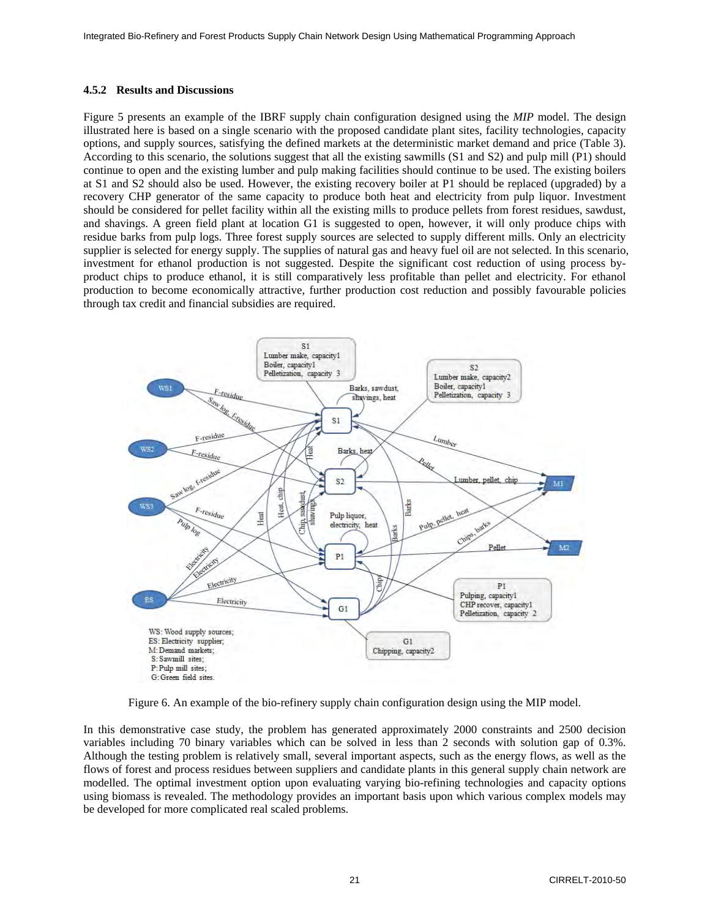#### **4.5.2 Results and Discussions**

Figure 5 presents an example of the IBRF supply chain configuration designed using the *MIP* model. The design illustrated here is based on a single scenario with the proposed candidate plant sites, facility technologies, capacity options, and supply sources, satisfying the defined markets at the deterministic market demand and price (Table 3). According to this scenario, the solutions suggest that all the existing sawmills (S1 and S2) and pulp mill (P1) should continue to open and the existing lumber and pulp making facilities should continue to be used. The existing boilers at S1 and S2 should also be used. However, the existing recovery boiler at P1 should be replaced (upgraded) by a recovery CHP generator of the same capacity to produce both heat and electricity from pulp liquor. Investment should be considered for pellet facility within all the existing mills to produce pellets from forest residues, sawdust, and shavings. A green field plant at location G1 is suggested to open, however, it will only produce chips with residue barks from pulp logs. Three forest supply sources are selected to supply different mills. Only an electricity supplier is selected for energy supply. The supplies of natural gas and heavy fuel oil are not selected. In this scenario, investment for ethanol production is not suggested. Despite the significant cost reduction of using process byproduct chips to produce ethanol, it is still comparatively less profitable than pellet and electricity. For ethanol production to become economically attractive, further production cost reduction and possibly favourable policies through tax credit and financial subsidies are required.



Figure 6. An example of the bio-refinery supply chain configuration design using the MIP model.

In this demonstrative case study, the problem has generated approximately 2000 constraints and 2500 decision variables including 70 binary variables which can be solved in less than 2 seconds with solution gap of 0.3%. Although the testing problem is relatively small, several important aspects, such as the energy flows, as well as the flows of forest and process residues between suppliers and candidate plants in this general supply chain network are modelled. The optimal investment option upon evaluating varying bio-refining technologies and capacity options using biomass is revealed. The methodology provides an important basis upon which various complex models may be developed for more complicated real scaled problems.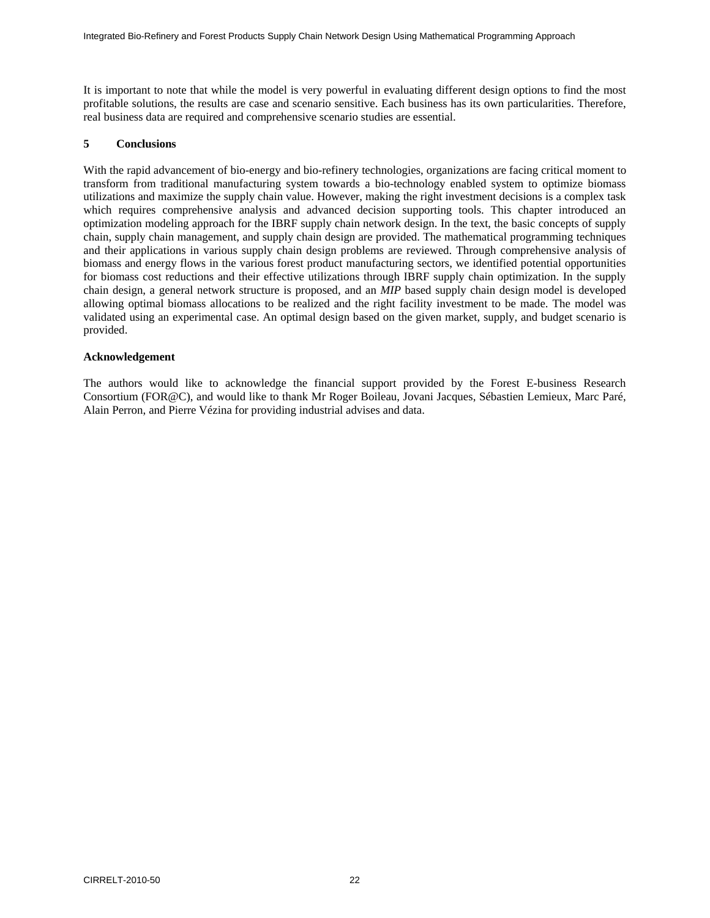It is important to note that while the model is very powerful in evaluating different design options to find the most profitable solutions, the results are case and scenario sensitive. Each business has its own particularities. Therefore, real business data are required and comprehensive scenario studies are essential.

### **5 Conclusions**

With the rapid advancement of bio-energy and bio-refinery technologies, organizations are facing critical moment to transform from traditional manufacturing system towards a bio-technology enabled system to optimize biomass utilizations and maximize the supply chain value. However, making the right investment decisions is a complex task which requires comprehensive analysis and advanced decision supporting tools. This chapter introduced an optimization modeling approach for the IBRF supply chain network design. In the text, the basic concepts of supply chain, supply chain management, and supply chain design are provided. The mathematical programming techniques and their applications in various supply chain design problems are reviewed. Through comprehensive analysis of biomass and energy flows in the various forest product manufacturing sectors, we identified potential opportunities for biomass cost reductions and their effective utilizations through IBRF supply chain optimization. In the supply chain design, a general network structure is proposed, and an *MIP* based supply chain design model is developed allowing optimal biomass allocations to be realized and the right facility investment to be made. The model was validated using an experimental case. An optimal design based on the given market, supply, and budget scenario is provided.

### **Acknowledgement**

The authors would like to acknowledge the financial support provided by the Forest E-business Research Consortium (FOR@C), and would like to thank Mr Roger Boileau, Jovani Jacques, Sébastien Lemieux, Marc Paré, Alain Perron, and Pierre Vézina for providing industrial advises and data.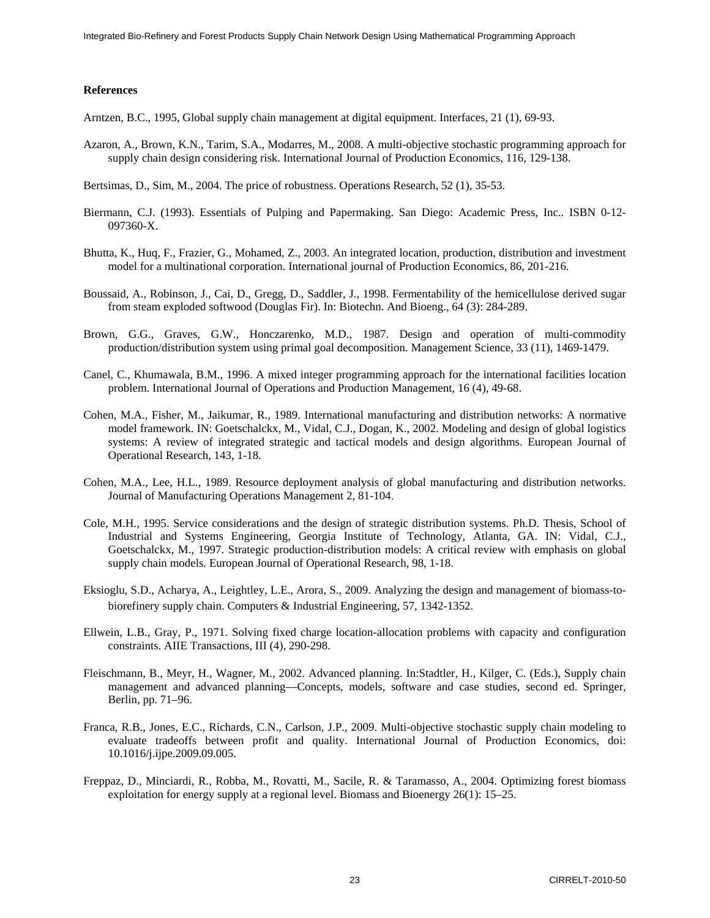#### **References**

- Arntzen, B.C., 1995, Global supply chain management at digital equipment. Interfaces, 21 (1), 69-93.
- Azaron, A., Brown, K.N., Tarim, S.A., Modarres, M., 2008. A multi-objective stochastic programming approach for supply chain design considering risk. International Journal of Production Economics, 116, 129-138.
- Bertsimas, D., Sim, M., 2004. The price of robustness. Operations Research, 52 (1), 35-53.
- Biermann, C.J. (1993). Essentials of Pulping and Papermaking. San Diego: Academic Press, Inc.. ISBN 0-12- 097360-X.
- Bhutta, K., Huq, F., Frazier, G., Mohamed, Z., 2003. An integrated location, production, distribution and investment model for a multinational corporation. International journal of Production Economics, 86, 201-216.
- Boussaid, A., Robinson, J., Cai, D., Gregg, D., Saddler, J., 1998. Fermentability of the hemicellulose derived sugar from steam exploded softwood (Douglas Fir). In: Biotechn. And Bioeng., 64 (3): 284-289.
- Brown, G.G., Graves, G.W., Honczarenko, M.D., 1987. Design and operation of multi-commodity production/distribution system using primal goal decomposition. Management Science, 33 (11), 1469-1479.
- Canel, C., Khumawala, B.M., 1996. A mixed integer programming approach for the international facilities location problem. International Journal of Operations and Production Management, 16 (4), 49-68.
- Cohen, M.A., Fisher, M., Jaikumar, R., 1989. International manufacturing and distribution networks: A normative model framework. IN: Goetschalckx, M., Vidal, C.J., Dogan, K., 2002. Modeling and design of global logistics systems: A review of integrated strategic and tactical models and design algorithms. European Journal of Operational Research, 143, 1-18.
- Cohen, M.A., Lee, H.L., 1989. Resource deployment analysis of global manufacturing and distribution networks. Journal of Manufacturing Operations Management 2, 81-104.
- Cole, M.H., 1995. Service considerations and the design of strategic distribution systems. Ph.D. Thesis, School of Industrial and Systems Engineering, Georgia Institute of Technology, Atlanta, GA. IN: Vidal, C.J., Goetschalckx, M., 1997. Strategic production-distribution models: A critical review with emphasis on global supply chain models. European Journal of Operational Research, 98, 1-18.
- Eksioglu, S.D., Acharya, A., Leightley, L.E., Arora, S., 2009. Analyzing the design and management of biomass-tobiorefinery supply chain. Computers & Industrial Engineering, 57, 1342-1352.
- Ellwein, L.B., Gray, P., 1971. Solving fixed charge location-allocation problems with capacity and configuration constraints. AIIE Transactions, III (4), 290-298.
- Fleischmann, B., Meyr, H., Wagner, M., 2002. Advanced planning. In:Stadtler, H., Kilger, C. (Eds.), Supply chain management and advanced planning—Concepts, models, software and case studies, second ed. Springer, Berlin, pp. 71–96.
- Franca, R.B., Jones, E.C., Richards, C.N., Carlson, J.P., 2009. Multi-objective stochastic supply chain modeling to evaluate tradeoffs between profit and quality. International Journal of Production Economics, doi: 10.1016/j.ijpe.2009.09.005.
- Freppaz, D., Minciardi, R., Robba, M., Rovatti, M., Sacile, R. & Taramasso, A., 2004. Optimizing forest biomass exploitation for energy supply at a regional level. Biomass and Bioenergy 26(1): 15–25.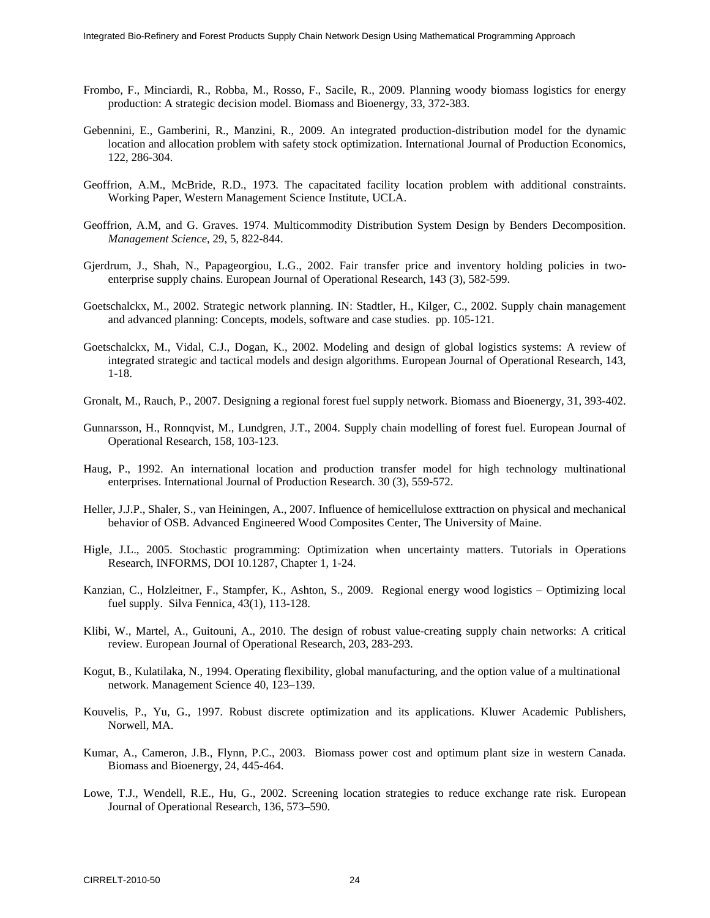- Frombo, F., Minciardi, R., Robba, M., Rosso, F., Sacile, R., 2009. Planning woody biomass logistics for energy production: A strategic decision model. Biomass and Bioenergy, 33, 372-383.
- Gebennini, E., Gamberini, R., Manzini, R., 2009. An integrated production-distribution model for the dynamic location and allocation problem with safety stock optimization. International Journal of Production Economics, 122, 286-304.
- Geoffrion, A.M., McBride, R.D., 1973. The capacitated facility location problem with additional constraints. Working Paper, Western Management Science Institute, UCLA.
- Geoffrion, A.M, and G. Graves. 1974. Multicommodity Distribution System Design by Benders Decomposition. *Management Science*, 29, 5, 822-844.
- Gjerdrum, J., Shah, N., Papageorgiou, L.G., 2002. Fair transfer price and inventory holding policies in twoenterprise supply chains. European Journal of Operational Research, 143 (3), 582-599.
- Goetschalckx, M., 2002. Strategic network planning. IN: Stadtler, H., Kilger, C., 2002. Supply chain management and advanced planning: Concepts, models, software and case studies. pp. 105-121.
- Goetschalckx, M., Vidal, C.J., Dogan, K., 2002. Modeling and design of global logistics systems: A review of integrated strategic and tactical models and design algorithms. European Journal of Operational Research, 143, 1-18.
- Gronalt, M., Rauch, P., 2007. Designing a regional forest fuel supply network. Biomass and Bioenergy, 31, 393-402.
- Gunnarsson, H., Ronnqvist, M., Lundgren, J.T., 2004. Supply chain modelling of forest fuel. European Journal of Operational Research, 158, 103-123.
- Haug, P., 1992. An international location and production transfer model for high technology multinational enterprises. International Journal of Production Research. 30 (3), 559-572.
- Heller, J.J.P., Shaler, S., van Heiningen, A., 2007. Influence of hemicellulose exttraction on physical and mechanical behavior of OSB. Advanced Engineered Wood Composites Center, The University of Maine.
- Higle, J.L., 2005. Stochastic programming: Optimization when uncertainty matters. Tutorials in Operations Research, INFORMS, DOI 10.1287, Chapter 1, 1-24.
- Kanzian, C., Holzleitner, F., Stampfer, K., Ashton, S., 2009. Regional energy wood logistics Optimizing local fuel supply. Silva Fennica, 43(1), 113-128.
- Klibi, W., Martel, A., Guitouni, A., 2010. The design of robust value-creating supply chain networks: A critical review. European Journal of Operational Research, 203, 283-293.
- Kogut, B., Kulatilaka, N., 1994. Operating flexibility, global manufacturing, and the option value of a multinational network. Management Science 40, 123–139.
- Kouvelis, P., Yu, G., 1997. Robust discrete optimization and its applications. Kluwer Academic Publishers, Norwell, MA.
- Kumar, A., Cameron, J.B., Flynn, P.C., 2003. Biomass power cost and optimum plant size in western Canada. Biomass and Bioenergy, 24, 445-464.
- Lowe, T.J., Wendell, R.E., Hu, G., 2002. Screening location strategies to reduce exchange rate risk. European Journal of Operational Research, 136, 573–590.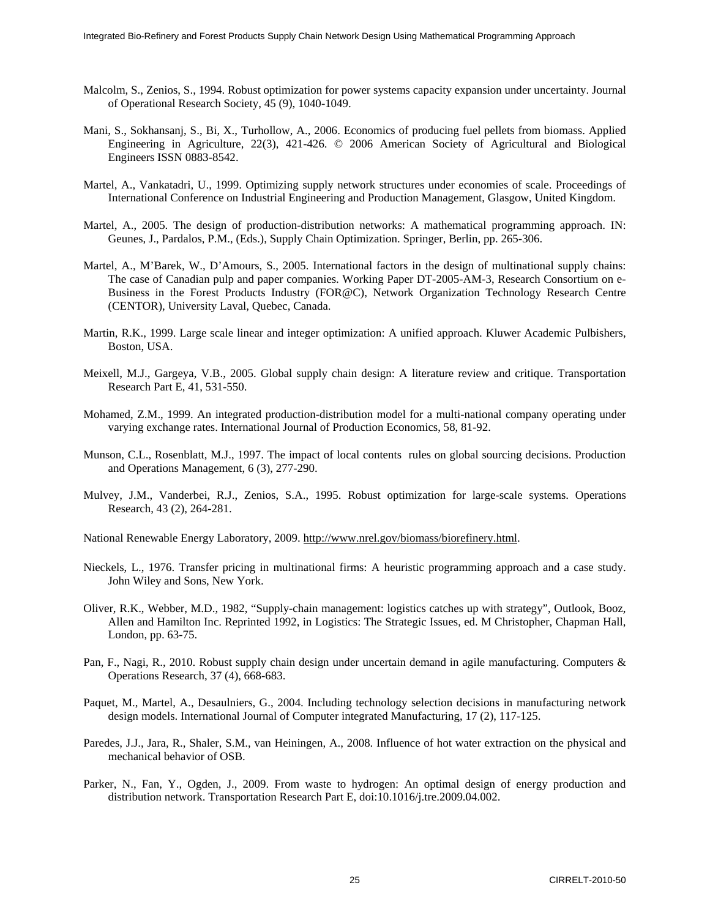- Malcolm, S., Zenios, S., 1994. Robust optimization for power systems capacity expansion under uncertainty. Journal of Operational Research Society, 45 (9), 1040-1049.
- Mani, S., Sokhansanj, S., Bi, X., Turhollow, A., 2006. Economics of producing fuel pellets from biomass. Applied Engineering in Agriculture, 22(3), 421-426. © 2006 American Society of Agricultural and Biological Engineers ISSN 0883-8542.
- Martel, A., Vankatadri, U., 1999. Optimizing supply network structures under economies of scale. Proceedings of International Conference on Industrial Engineering and Production Management, Glasgow, United Kingdom.
- Martel, A., 2005. The design of production-distribution networks: A mathematical programming approach. IN: Geunes, J., Pardalos, P.M., (Eds.), Supply Chain Optimization. Springer, Berlin, pp. 265-306.
- Martel, A., M'Barek, W., D'Amours, S., 2005. International factors in the design of multinational supply chains: The case of Canadian pulp and paper companies. Working Paper DT-2005-AM-3, Research Consortium on e-Business in the Forest Products Industry (FOR@C), Network Organization Technology Research Centre (CENTOR), University Laval, Quebec, Canada.
- Martin, R.K., 1999. Large scale linear and integer optimization: A unified approach. Kluwer Academic Pulbishers, Boston, USA.
- Meixell, M.J., Gargeya, V.B., 2005. Global supply chain design: A literature review and critique. Transportation Research Part E, 41, 531-550.
- Mohamed, Z.M., 1999. An integrated production-distribution model for a multi-national company operating under varying exchange rates. International Journal of Production Economics, 58, 81-92.
- Munson, C.L., Rosenblatt, M.J., 1997. The impact of local contents rules on global sourcing decisions. Production and Operations Management, 6 (3), 277-290.
- Mulvey, J.M., Vanderbei, R.J., Zenios, S.A., 1995. Robust optimization for large-scale systems. Operations Research, 43 (2), 264-281.
- National Renewable Energy Laboratory, 2009. http://www.nrel.gov/biomass/biorefinery.html.
- Nieckels, L., 1976. Transfer pricing in multinational firms: A heuristic programming approach and a case study. John Wiley and Sons, New York.
- Oliver, R.K., Webber, M.D., 1982, "Supply-chain management: logistics catches up with strategy", Outlook, Booz, Allen and Hamilton Inc. Reprinted 1992, in Logistics: The Strategic Issues, ed. M Christopher, Chapman Hall, London, pp. 63-75.
- Pan, F., Nagi, R., 2010. Robust supply chain design under uncertain demand in agile manufacturing. Computers & Operations Research, 37 (4), 668-683.
- Paquet, M., Martel, A., Desaulniers, G., 2004. Including technology selection decisions in manufacturing network design models. International Journal of Computer integrated Manufacturing, 17 (2), 117-125.
- Paredes, J.J., Jara, R., Shaler, S.M., van Heiningen, A., 2008. Influence of hot water extraction on the physical and mechanical behavior of OSB.
- Parker, N., Fan, Y., Ogden, J., 2009. From waste to hydrogen: An optimal design of energy production and distribution network. Transportation Research Part E, doi:10.1016/j.tre.2009.04.002.